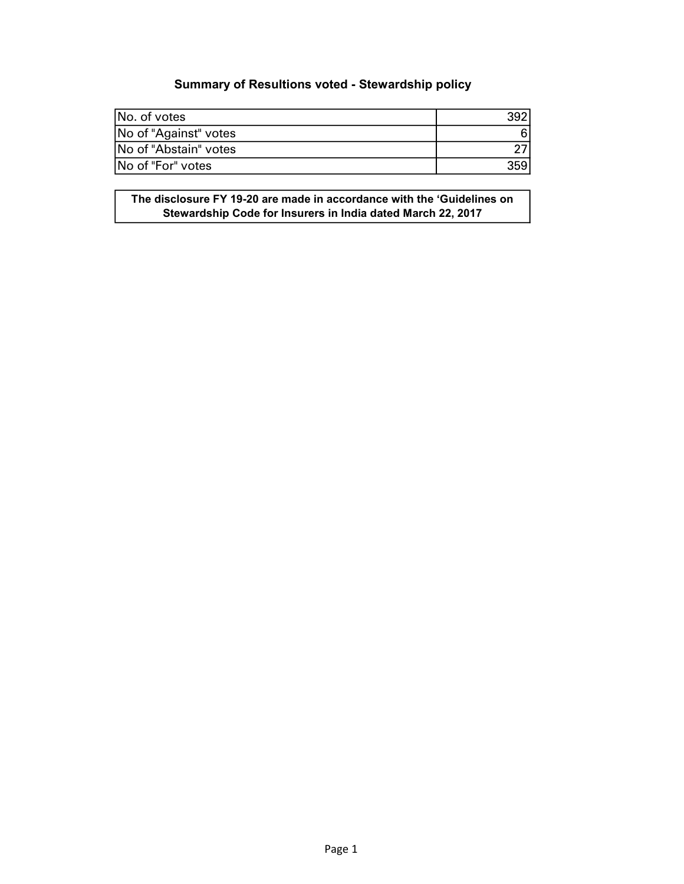## Summary of Resultions voted - Stewardship policy

| INo. of votes         |  |
|-----------------------|--|
| No of "Against" votes |  |
| No of "Abstain" votes |  |
| INo of "For" votes    |  |

The disclosure FY 19-20 are made in accordance with the 'Guidelines on Stewardship Code for Insurers in India dated March 22, 2017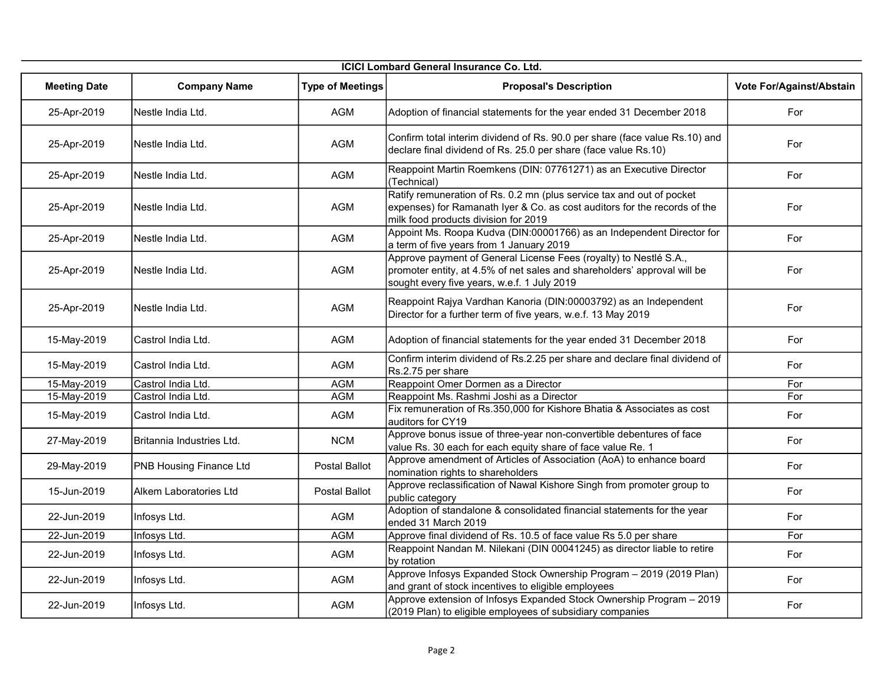|                     | ICICI Lombard General Insurance Co. Ltd. |                         |                                                                                                                                                                                              |                          |  |  |
|---------------------|------------------------------------------|-------------------------|----------------------------------------------------------------------------------------------------------------------------------------------------------------------------------------------|--------------------------|--|--|
| <b>Meeting Date</b> | <b>Company Name</b>                      | <b>Type of Meetings</b> | <b>Proposal's Description</b>                                                                                                                                                                | Vote For/Against/Abstain |  |  |
| 25-Apr-2019         | İNestle India Ltd.                       | <b>AGM</b>              | Adoption of financial statements for the year ended 31 December 2018                                                                                                                         | For                      |  |  |
| 25-Apr-2019         | Nestle India Ltd.                        | AGM                     | Confirm total interim dividend of Rs. 90.0 per share (face value Rs.10) and<br>declare final dividend of Rs. 25.0 per share (face value Rs.10)                                               | For                      |  |  |
| 25-Apr-2019         | Nestle India Ltd.                        | AGM                     | Reappoint Martin Roemkens (DIN: 07761271) as an Executive Director<br>(Technical)                                                                                                            | For                      |  |  |
| 25-Apr-2019         | İNestle India Ltd.                       | AGM                     | Ratify remuneration of Rs. 0.2 mn (plus service tax and out of pocket<br>expenses) for Ramanath Iyer & Co. as cost auditors for the records of the<br>milk food products division for 2019   | For                      |  |  |
| 25-Apr-2019         | Nestle India Ltd.                        | AGM                     | Appoint Ms. Roopa Kudva (DIN:00001766) as an Independent Director for<br>a term of five years from 1 January 2019                                                                            | For                      |  |  |
| 25-Apr-2019         | Nestle India Ltd.                        | AGM                     | Approve payment of General License Fees (royalty) to Nestlé S.A.,<br>promoter entity, at 4.5% of net sales and shareholders' approval will be<br>sought every five years, w.e.f. 1 July 2019 | For                      |  |  |
| 25-Apr-2019         | INestle India Ltd.                       | <b>AGM</b>              | Reappoint Rajya Vardhan Kanoria (DIN:00003792) as an Independent<br>Director for a further term of five years, w.e.f. 13 May 2019                                                            | For                      |  |  |
| 15-May-2019         | Castrol India Ltd.                       | <b>AGM</b>              | Adoption of financial statements for the year ended 31 December 2018                                                                                                                         | For                      |  |  |
| 15-May-2019         | Castrol India Ltd.                       | <b>AGM</b>              | Confirm interim dividend of Rs.2.25 per share and declare final dividend of<br>Rs.2.75 per share                                                                                             | For                      |  |  |
| 15-May-2019         | Castrol India Ltd.                       | <b>AGM</b>              | Reappoint Omer Dormen as a Director                                                                                                                                                          | For                      |  |  |
| 15-May-2019         | Castrol India Ltd.                       | <b>AGM</b>              | Reappoint Ms. Rashmi Joshi as a Director                                                                                                                                                     | For                      |  |  |
| 15-May-2019         | Castrol India Ltd.                       | <b>AGM</b>              | Fix remuneration of Rs.350,000 for Kishore Bhatia & Associates as cost<br>auditors for CY19                                                                                                  | For                      |  |  |
| 27-May-2019         | Britannia Industries Ltd.                | <b>NCM</b>              | Approve bonus issue of three-year non-convertible debentures of face<br>value Rs. 30 each for each equity share of face value Re. 1                                                          | For                      |  |  |
| 29-May-2019         | PNB Housing Finance Ltd                  | Postal Ballot           | Approve amendment of Articles of Association (AoA) to enhance board<br>nomination rights to shareholders                                                                                     | For                      |  |  |
| 15-Jun-2019         | Alkem Laboratories Ltd                   | Postal Ballot           | Approve reclassification of Nawal Kishore Singh from promoter group to<br>public category                                                                                                    | For                      |  |  |
| 22-Jun-2019         | Infosys Ltd.                             | <b>AGM</b>              | Adoption of standalone & consolidated financial statements for the year<br>ended 31 March 2019                                                                                               | For                      |  |  |
| 22-Jun-2019         | Infosys Ltd.                             | <b>AGM</b>              | Approve final dividend of Rs. 10.5 of face value Rs 5.0 per share                                                                                                                            | For                      |  |  |
| 22-Jun-2019         | Infosys Ltd.                             | AGM                     | Reappoint Nandan M. Nilekani (DIN 00041245) as director liable to retire<br>by rotation                                                                                                      | For                      |  |  |
| 22-Jun-2019         | Infosys Ltd.                             | AGM                     | Approve Infosys Expanded Stock Ownership Program - 2019 (2019 Plan)<br>and grant of stock incentives to eligible employees                                                                   | For                      |  |  |
| 22-Jun-2019         | Infosys Ltd.                             | <b>AGM</b>              | Approve extension of Infosys Expanded Stock Ownership Program - 2019<br>(2019 Plan) to eligible employees of subsidiary companies                                                            | For                      |  |  |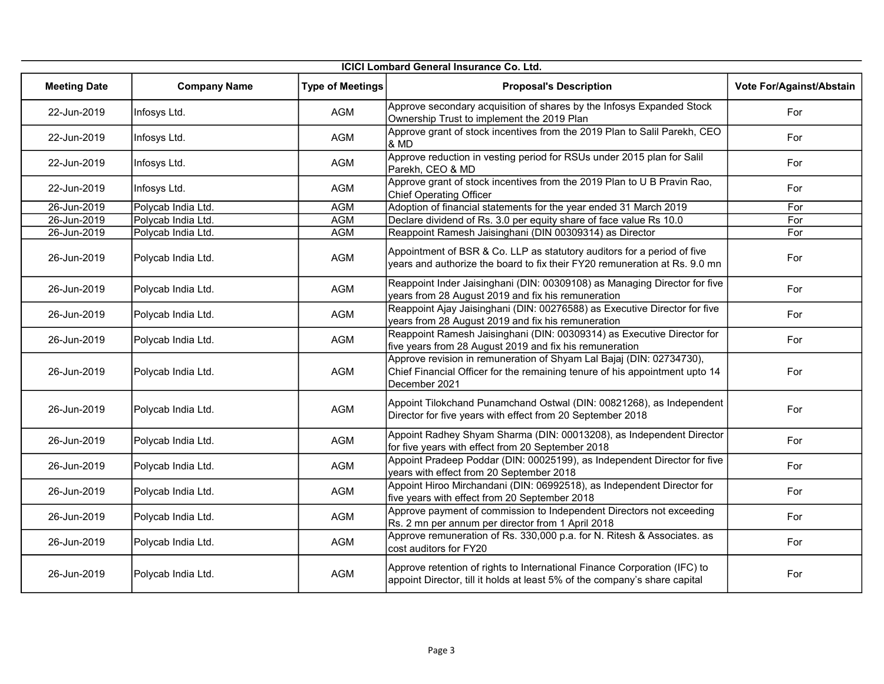|                     | <b>ICICI Lombard General Insurance Co. Ltd.</b> |                         |                                                                                                                                                                      |                          |  |
|---------------------|-------------------------------------------------|-------------------------|----------------------------------------------------------------------------------------------------------------------------------------------------------------------|--------------------------|--|
| <b>Meeting Date</b> | <b>Company Name</b>                             | <b>Type of Meetings</b> | <b>Proposal's Description</b>                                                                                                                                        | Vote For/Against/Abstain |  |
| 22-Jun-2019         | Infosys Ltd.                                    | <b>AGM</b>              | Approve secondary acquisition of shares by the Infosys Expanded Stock<br>Ownership Trust to implement the 2019 Plan                                                  | For                      |  |
| 22-Jun-2019         | Infosys Ltd.                                    | AGM                     | Approve grant of stock incentives from the 2019 Plan to Salil Parekh, CEO<br>& MD                                                                                    | For                      |  |
| 22-Jun-2019         | Infosys Ltd.                                    | <b>AGM</b>              | Approve reduction in vesting period for RSUs under 2015 plan for Salil<br>Parekh, CEO & MD                                                                           | For                      |  |
| 22-Jun-2019         | Infosys Ltd.                                    | <b>AGM</b>              | Approve grant of stock incentives from the 2019 Plan to U B Pravin Rao,<br><b>Chief Operating Officer</b>                                                            | For                      |  |
| 26-Jun-2019         | Polycab India Ltd.                              | <b>AGM</b>              | Adoption of financial statements for the year ended 31 March 2019                                                                                                    | For                      |  |
| 26-Jun-2019         | Polycab India Ltd.                              | <b>AGM</b>              | Declare dividend of Rs. 3.0 per equity share of face value Rs 10.0                                                                                                   | For                      |  |
| 26-Jun-2019         | Polycab India Ltd.                              | <b>AGM</b>              | Reappoint Ramesh Jaisinghani (DIN 00309314) as Director                                                                                                              | For                      |  |
| 26-Jun-2019         | Polycab India Ltd.                              | AGM                     | Appointment of BSR & Co. LLP as statutory auditors for a period of five<br>years and authorize the board to fix their FY20 remuneration at Rs. 9.0 mn                | For                      |  |
| 26-Jun-2019         | Polycab India Ltd.                              | <b>AGM</b>              | Reappoint Inder Jaisinghani (DIN: 00309108) as Managing Director for five<br>years from 28 August 2019 and fix his remuneration                                      | For                      |  |
| 26-Jun-2019         | Polycab India Ltd.                              | <b>AGM</b>              | Reappoint Ajay Jaisinghani (DIN: 00276588) as Executive Director for five<br>years from 28 August 2019 and fix his remuneration                                      | For                      |  |
| 26-Jun-2019         | Polycab India Ltd.                              | AGM                     | Reappoint Ramesh Jaisinghani (DIN: 00309314) as Executive Director for<br>five years from 28 August 2019 and fix his remuneration                                    | For                      |  |
| 26-Jun-2019         | Polycab India Ltd.                              | AGM                     | Approve revision in remuneration of Shyam Lal Bajaj (DIN: 02734730),<br>Chief Financial Officer for the remaining tenure of his appointment upto 14<br>December 2021 | For                      |  |
| 26-Jun-2019         | Polycab India Ltd.                              | AGM                     | Appoint Tilokchand Punamchand Ostwal (DIN: 00821268), as Independent<br>Director for five years with effect from 20 September 2018                                   | For                      |  |
| 26-Jun-2019         | Polycab India Ltd.                              | AGM                     | Appoint Radhey Shyam Sharma (DIN: 00013208), as Independent Director<br>for five years with effect from 20 September 2018                                            | For                      |  |
| 26-Jun-2019         | Polycab India Ltd.                              | AGM                     | Appoint Pradeep Poddar (DIN: 00025199), as Independent Director for five<br>years with effect from 20 September 2018                                                 | For                      |  |
| 26-Jun-2019         | Polycab India Ltd.                              | AGM                     | Appoint Hiroo Mirchandani (DIN: 06992518), as Independent Director for<br>five years with effect from 20 September 2018                                              | For                      |  |
| 26-Jun-2019         | Polycab India Ltd.                              | AGM                     | Approve payment of commission to Independent Directors not exceeding<br>Rs. 2 mn per annum per director from 1 April 2018                                            | For                      |  |
| 26-Jun-2019         | Polycab India Ltd.                              | AGM                     | Approve remuneration of Rs. 330,000 p.a. for N. Ritesh & Associates. as<br>cost auditors for FY20                                                                    | For                      |  |
| 26-Jun-2019         | Polycab India Ltd.                              | <b>AGM</b>              | Approve retention of rights to International Finance Corporation (IFC) to<br>appoint Director, till it holds at least 5% of the company's share capital              | For                      |  |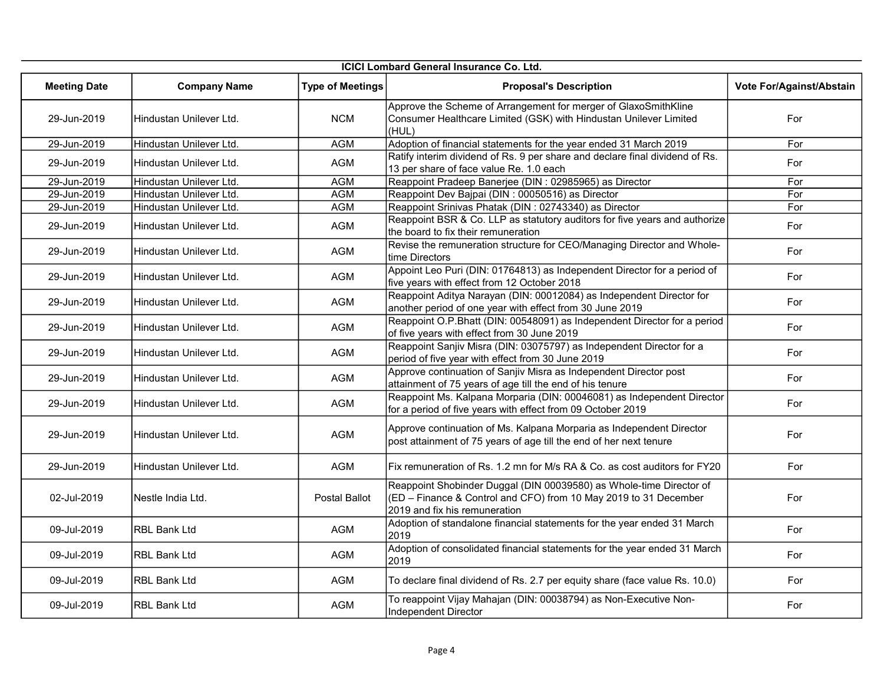|                     | <b>ICICI Lombard General Insurance Co. Ltd.</b> |                         |                                                                                                                                                                          |                          |  |
|---------------------|-------------------------------------------------|-------------------------|--------------------------------------------------------------------------------------------------------------------------------------------------------------------------|--------------------------|--|
| <b>Meeting Date</b> | <b>Company Name</b>                             | <b>Type of Meetings</b> | <b>Proposal's Description</b>                                                                                                                                            | Vote For/Against/Abstain |  |
| 29-Jun-2019         | Hindustan Unilever Ltd.                         | <b>NCM</b>              | Approve the Scheme of Arrangement for merger of GlaxoSmithKline<br>Consumer Healthcare Limited (GSK) with Hindustan Unilever Limited<br>(HUL)                            | For                      |  |
| 29-Jun-2019         | Hindustan Unilever Ltd.                         | <b>AGM</b>              | Adoption of financial statements for the year ended 31 March 2019                                                                                                        | For                      |  |
| 29-Jun-2019         | Hindustan Unilever Ltd.                         | AGM                     | Ratify interim dividend of Rs. 9 per share and declare final dividend of Rs.<br>13 per share of face value Re. 1.0 each                                                  | For                      |  |
| 29-Jun-2019         | Hindustan Unilever Ltd.                         | AGM                     | Reappoint Pradeep Banerjee (DIN : 02985965) as Director                                                                                                                  | For                      |  |
| 29-Jun-2019         | Hindustan Unilever Ltd.                         | <b>AGM</b>              | Reappoint Dev Bajpai (DIN : 00050516) as Director                                                                                                                        | For                      |  |
| 29-Jun-2019         | Hindustan Unilever Ltd.                         | <b>AGM</b>              | Reappoint Srinivas Phatak (DIN : 02743340) as Director                                                                                                                   | For                      |  |
| 29-Jun-2019         | Hindustan Unilever Ltd.                         | AGM                     | Reappoint BSR & Co. LLP as statutory auditors for five years and authorize<br>the board to fix their remuneration                                                        | For                      |  |
| 29-Jun-2019         | İHindustan Unilever Ltd.                        | AGM                     | Revise the remuneration structure for CEO/Managing Director and Whole-<br>time Directors                                                                                 | For                      |  |
| 29-Jun-2019         | Hindustan Unilever Ltd.                         | <b>AGM</b>              | Appoint Leo Puri (DIN: 01764813) as Independent Director for a period of<br>five years with effect from 12 October 2018                                                  | For                      |  |
| 29-Jun-2019         | Hindustan Unilever Ltd.                         | AGM                     | Reappoint Aditya Narayan (DIN: 00012084) as Independent Director for<br>another period of one year with effect from 30 June 2019                                         | For                      |  |
| 29-Jun-2019         | Hindustan Unilever Ltd.                         | <b>AGM</b>              | Reappoint O.P.Bhatt (DIN: 00548091) as Independent Director for a period<br>of five years with effect from 30 June 2019                                                  | For                      |  |
| 29-Jun-2019         | Hindustan Unilever Ltd.                         | <b>AGM</b>              | Reappoint Sanjiv Misra (DIN: 03075797) as Independent Director for a<br>period of five year with effect from 30 June 2019                                                | For                      |  |
| 29-Jun-2019         | İHindustan Unilever Ltd.                        | AGM                     | Approve continuation of Sanjiv Misra as Independent Director post<br>attainment of 75 years of age till the end of his tenure                                            | For                      |  |
| 29-Jun-2019         | Hindustan Unilever Ltd.                         | <b>AGM</b>              | Reappoint Ms. Kalpana Morparia (DIN: 00046081) as Independent Director<br>for a period of five years with effect from 09 October 2019                                    | For                      |  |
| 29-Jun-2019         | Hindustan Unilever Ltd.                         | AGM                     | Approve continuation of Ms. Kalpana Morparia as Independent Director<br>post attainment of 75 years of age till the end of her next tenure                               | For                      |  |
| 29-Jun-2019         | Hindustan Unilever Ltd.                         | <b>AGM</b>              | Fix remuneration of Rs. 1.2 mn for M/s RA & Co. as cost auditors for FY20                                                                                                | For                      |  |
| 02-Jul-2019         | İNestle India Ltd.                              | Postal Ballot           | Reappoint Shobinder Duggal (DIN 00039580) as Whole-time Director of<br>(ED - Finance & Control and CFO) from 10 May 2019 to 31 December<br>2019 and fix his remuneration | For                      |  |
| 09-Jul-2019         | <b>RBL Bank Ltd</b>                             | <b>AGM</b>              | Adoption of standalone financial statements for the year ended 31 March<br>2019                                                                                          | For                      |  |
| 09-Jul-2019         | IRBL Bank Ltd                                   | AGM                     | Adoption of consolidated financial statements for the year ended 31 March<br>2019                                                                                        | For                      |  |
| 09-Jul-2019         | RBL Bank Ltd                                    | AGM                     | To declare final dividend of Rs. 2.7 per equity share (face value Rs. 10.0)                                                                                              | For                      |  |
| 09-Jul-2019         | RBL Bank Ltd                                    | AGM                     | To reappoint Vijay Mahajan (DIN: 00038794) as Non-Executive Non-<br>Independent Director                                                                                 | For                      |  |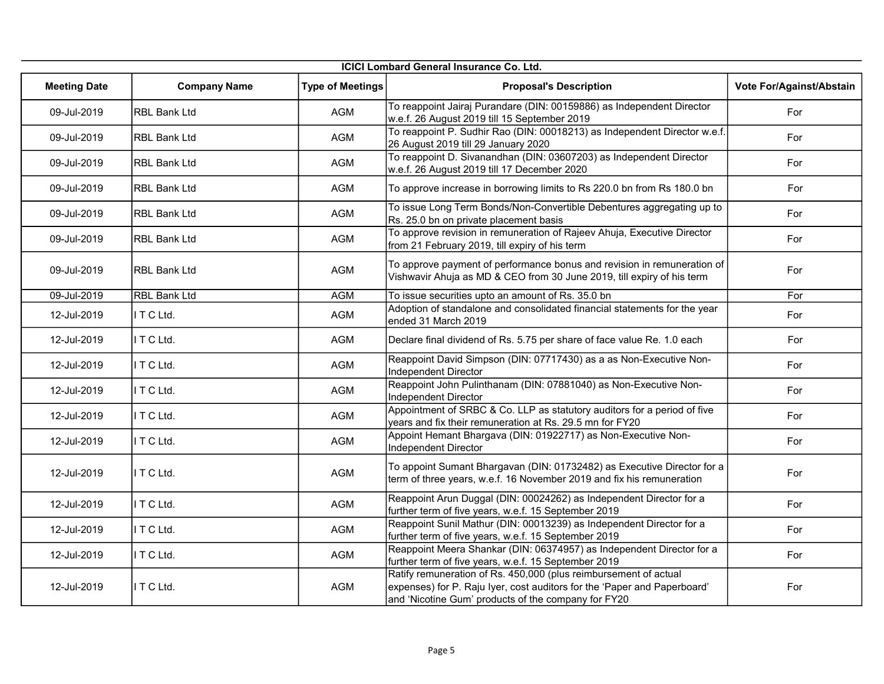|                     | <b>ICICI Lombard General Insurance Co. Ltd.</b> |                         |                                                                                                                                                                                                     |                          |  |
|---------------------|-------------------------------------------------|-------------------------|-----------------------------------------------------------------------------------------------------------------------------------------------------------------------------------------------------|--------------------------|--|
| <b>Meeting Date</b> | <b>Company Name</b>                             | <b>Type of Meetings</b> | <b>Proposal's Description</b>                                                                                                                                                                       | Vote For/Against/Abstain |  |
| 09-Jul-2019         | RBL Bank Ltd                                    | AGM                     | To reappoint Jairaj Purandare (DIN: 00159886) as Independent Director<br>w.e.f. 26 August 2019 till 15 September 2019                                                                               | For                      |  |
| 09-Jul-2019         | <b>IRBL Bank Ltd</b>                            | AGM                     | To reappoint P. Sudhir Rao (DIN: 00018213) as Independent Director w.e.f.<br>26 August 2019 till 29 January 2020                                                                                    | For                      |  |
| 09-Jul-2019         | RBL Bank Ltd                                    | <b>AGM</b>              | To reappoint D. Sivanandhan (DIN: 03607203) as Independent Director<br>w.e.f. 26 August 2019 till 17 December 2020                                                                                  | For                      |  |
| 09-Jul-2019         | <b>RBL Bank Ltd</b>                             | <b>AGM</b>              | To approve increase in borrowing limits to Rs 220.0 bn from Rs 180.0 bn                                                                                                                             | For                      |  |
| 09-Jul-2019         | RBL Bank Ltd                                    | AGM                     | To issue Long Term Bonds/Non-Convertible Debentures aggregating up to<br>Rs. 25.0 bn on private placement basis                                                                                     | For                      |  |
| 09-Jul-2019         | <b>RBL Bank Ltd</b>                             | AGM                     | To approve revision in remuneration of Rajeev Ahuja, Executive Director<br>from 21 February 2019, till expiry of his term                                                                           | For                      |  |
| 09-Jul-2019         | <b>RBL Bank Ltd</b>                             | <b>AGM</b>              | To approve payment of performance bonus and revision in remuneration of<br>Vishwavir Ahuja as MD & CEO from 30 June 2019, till expiry of his term                                                   | For                      |  |
| 09-Jul-2019         | <b>RBL Bank Ltd</b>                             | <b>AGM</b>              | To issue securities upto an amount of Rs. 35.0 bn                                                                                                                                                   | For                      |  |
| 12-Jul-2019         | I T C Ltd.                                      | <b>AGM</b>              | Adoption of standalone and consolidated financial statements for the year<br>ended 31 March 2019                                                                                                    | For                      |  |
| 12-Jul-2019         | I T C Ltd.                                      | <b>AGM</b>              | Declare final dividend of Rs. 5.75 per share of face value Re. 1.0 each                                                                                                                             | For                      |  |
| 12-Jul-2019         | ITCLtd.                                         | <b>AGM</b>              | Reappoint David Simpson (DIN: 07717430) as a as Non-Executive Non-<br>Independent Director                                                                                                          | For                      |  |
| 12-Jul-2019         | ITCLtd.                                         | AGM                     | Reappoint John Pulinthanam (DIN: 07881040) as Non-Executive Non-<br>Independent Director                                                                                                            | For                      |  |
| 12-Jul-2019         | ITCLtd.                                         | AGM                     | Appointment of SRBC & Co. LLP as statutory auditors for a period of five<br>years and fix their remuneration at Rs. 29.5 mn for FY20                                                                | For                      |  |
| 12-Jul-2019         | I T C Ltd.                                      | AGM                     | Appoint Hemant Bhargava (DIN: 01922717) as Non-Executive Non-<br>Independent Director                                                                                                               | For                      |  |
| 12-Jul-2019         | I T C Ltd.                                      | <b>AGM</b>              | To appoint Sumant Bhargavan (DIN: 01732482) as Executive Director for a<br>term of three years, w.e.f. 16 November 2019 and fix his remuneration                                                    | For                      |  |
| 12-Jul-2019         | ITCLtd.                                         | <b>AGM</b>              | Reappoint Arun Duggal (DIN: 00024262) as Independent Director for a<br>further term of five years, w.e.f. 15 September 2019                                                                         | For                      |  |
| 12-Jul-2019         | I T C Ltd.                                      | <b>AGM</b>              | Reappoint Sunil Mathur (DIN: 00013239) as Independent Director for a<br>further term of five years, w.e.f. 15 September 2019                                                                        | For                      |  |
| 12-Jul-2019         | ITCLtd.                                         | AGM                     | Reappoint Meera Shankar (DIN: 06374957) as Independent Director for a<br>further term of five years, w.e.f. 15 September 2019                                                                       | For                      |  |
| 12-Jul-2019         | I T C Ltd.                                      | <b>AGM</b>              | Ratify remuneration of Rs. 450,000 (plus reimbursement of actual<br>expenses) for P. Raju Iyer, cost auditors for the 'Paper and Paperboard'<br>and 'Nicotine Gum' products of the company for FY20 | For                      |  |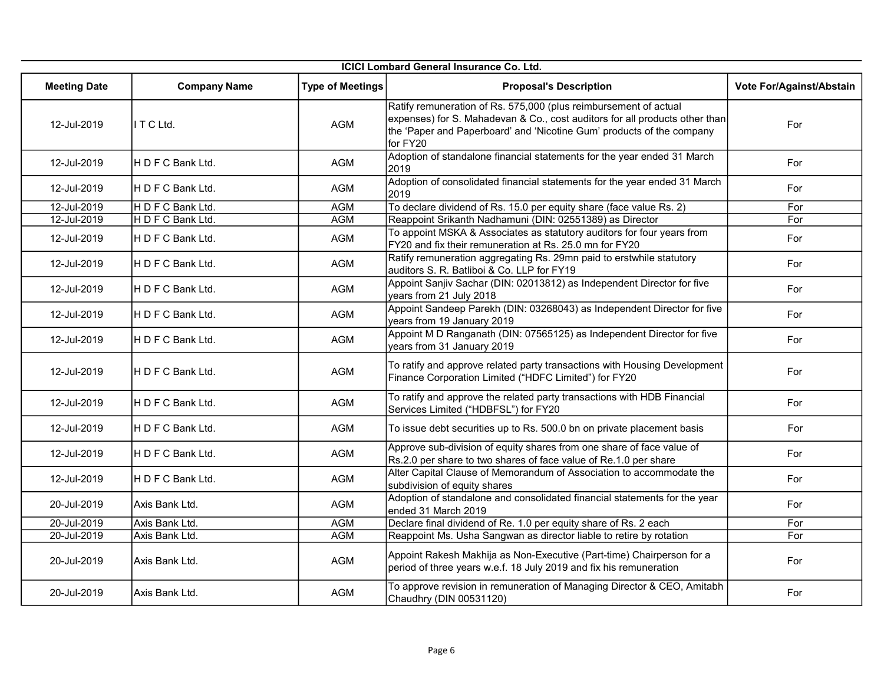| <b>ICICI Lombard General Insurance Co. Ltd.</b> |                     |                         |                                                                                                                                                                                                                                      |                          |
|-------------------------------------------------|---------------------|-------------------------|--------------------------------------------------------------------------------------------------------------------------------------------------------------------------------------------------------------------------------------|--------------------------|
| <b>Meeting Date</b>                             | <b>Company Name</b> | <b>Type of Meetings</b> | <b>Proposal's Description</b>                                                                                                                                                                                                        | Vote For/Against/Abstain |
| 12-Jul-2019                                     | ITCLtd.             | <b>AGM</b>              | Ratify remuneration of Rs. 575,000 (plus reimbursement of actual<br>expenses) for S. Mahadevan & Co., cost auditors for all products other than<br>the 'Paper and Paperboard' and 'Nicotine Gum' products of the company<br>for FY20 | For                      |
| 12-Jul-2019                                     | HDFCBankLtd.        | <b>AGM</b>              | Adoption of standalone financial statements for the year ended 31 March<br>2019                                                                                                                                                      | For                      |
| 12-Jul-2019                                     | IH D F C Bank Ltd.  | <b>AGM</b>              | Adoption of consolidated financial statements for the year ended 31 March<br>2019                                                                                                                                                    | For                      |
| 12-Jul-2019                                     | H D F C Bank Ltd.   | <b>AGM</b>              | To declare dividend of Rs. 15.0 per equity share (face value Rs. 2)                                                                                                                                                                  | For                      |
| 12-Jul-2019                                     | HDFC Bank Ltd.      | <b>AGM</b>              | Reappoint Srikanth Nadhamuni (DIN: 02551389) as Director                                                                                                                                                                             | For                      |
| 12-Jul-2019                                     | HDFC Bank Ltd.      | AGM                     | To appoint MSKA & Associates as statutory auditors for four years from<br>FY20 and fix their remuneration at Rs. 25.0 mn for FY20                                                                                                    | For                      |
| 12-Jul-2019                                     | H D F C Bank Ltd.   | <b>AGM</b>              | Ratify remuneration aggregating Rs. 29mn paid to erstwhile statutory<br>auditors S. R. Batliboi & Co. LLP for FY19                                                                                                                   | For                      |
| 12-Jul-2019                                     | H D F C Bank Ltd.   | AGM                     | Appoint Sanjiv Sachar (DIN: 02013812) as Independent Director for five<br>years from 21 July 2018                                                                                                                                    | For                      |
| 12-Jul-2019                                     | H D F C Bank Ltd.   | AGM                     | Appoint Sandeep Parekh (DIN: 03268043) as Independent Director for five<br>years from 19 January 2019                                                                                                                                | For                      |
| 12-Jul-2019                                     | IH D F C Bank Ltd.  | AGM                     | Appoint M D Ranganath (DIN: 07565125) as Independent Director for five<br>years from 31 January 2019                                                                                                                                 | For                      |
| 12-Jul-2019                                     | H D F C Bank Ltd.   | <b>AGM</b>              | To ratify and approve related party transactions with Housing Development<br>Finance Corporation Limited ("HDFC Limited") for FY20                                                                                                   | For                      |
| 12-Jul-2019                                     | HDFCBankLtd.        | <b>AGM</b>              | To ratify and approve the related party transactions with HDB Financial<br>Services Limited ("HDBFSL") for FY20                                                                                                                      | For                      |
| 12-Jul-2019                                     | H D F C Bank Ltd.   | <b>AGM</b>              | To issue debt securities up to Rs. 500.0 bn on private placement basis                                                                                                                                                               | For                      |
| 12-Jul-2019                                     | HDFC Bank Ltd.      | <b>AGM</b>              | Approve sub-division of equity shares from one share of face value of<br>Rs.2.0 per share to two shares of face value of Re.1.0 per share                                                                                            | For                      |
| 12-Jul-2019                                     | HDFC Bank Ltd.      | AGM                     | Alter Capital Clause of Memorandum of Association to accommodate the<br>subdivision of equity shares                                                                                                                                 | For                      |
| 20-Jul-2019                                     | Axis Bank Ltd.      | AGM                     | Adoption of standalone and consolidated financial statements for the year<br>ended 31 March 2019                                                                                                                                     | For                      |
| 20-Jul-2019                                     | Axis Bank Ltd.      | <b>AGM</b>              | Declare final dividend of Re. 1.0 per equity share of Rs. 2 each                                                                                                                                                                     | For                      |
| 20-Jul-2019                                     | Axis Bank Ltd.      | <b>AGM</b>              | Reappoint Ms. Usha Sangwan as director liable to retire by rotation                                                                                                                                                                  | For                      |
| 20-Jul-2019                                     | Axis Bank Ltd.      | AGM                     | Appoint Rakesh Makhija as Non-Executive (Part-time) Chairperson for a<br>period of three years w.e.f. 18 July 2019 and fix his remuneration                                                                                          | For                      |
| 20-Jul-2019                                     | Axis Bank Ltd.      | <b>AGM</b>              | To approve revision in remuneration of Managing Director & CEO, Amitabh<br>Chaudhry (DIN 00531120)                                                                                                                                   | For                      |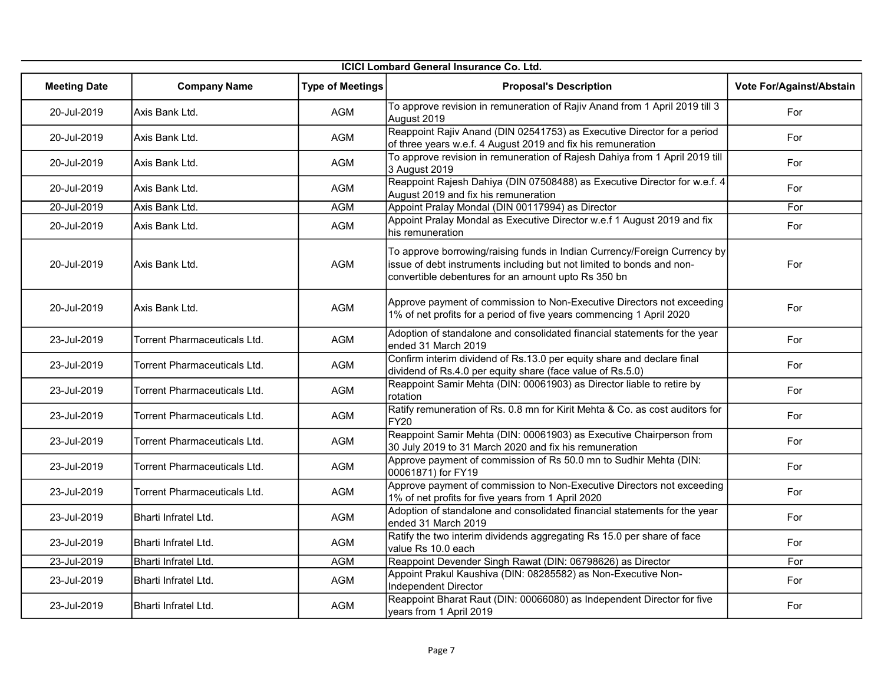|                     | <b>ICICI Lombard General Insurance Co. Ltd.</b> |                         |                                                                                                                                                                                                           |                          |  |
|---------------------|-------------------------------------------------|-------------------------|-----------------------------------------------------------------------------------------------------------------------------------------------------------------------------------------------------------|--------------------------|--|
| <b>Meeting Date</b> | <b>Company Name</b>                             | <b>Type of Meetings</b> | <b>Proposal's Description</b>                                                                                                                                                                             | Vote For/Against/Abstain |  |
| 20-Jul-2019         | Axis Bank Ltd.                                  | <b>AGM</b>              | To approve revision in remuneration of Rajiv Anand from 1 April 2019 till 3<br>August 2019                                                                                                                | For                      |  |
| 20-Jul-2019         | Axis Bank Ltd.                                  | <b>AGM</b>              | Reappoint Rajiv Anand (DIN 02541753) as Executive Director for a period<br>of three years w.e.f. 4 August 2019 and fix his remuneration                                                                   | For                      |  |
| 20-Jul-2019         | Axis Bank Ltd.                                  | AGM                     | To approve revision in remuneration of Rajesh Dahiya from 1 April 2019 till<br>3 August 2019                                                                                                              | For                      |  |
| 20-Jul-2019         | Axis Bank Ltd.                                  | AGM                     | Reappoint Rajesh Dahiya (DIN 07508488) as Executive Director for w.e.f. 4<br>August 2019 and fix his remuneration                                                                                         | For                      |  |
| 20-Jul-2019         | Axis Bank Ltd.                                  | <b>AGM</b>              | Appoint Pralay Mondal (DIN 00117994) as Director                                                                                                                                                          | For                      |  |
| 20-Jul-2019         | Axis Bank Ltd.                                  | AGM                     | Appoint Pralay Mondal as Executive Director w.e.f 1 August 2019 and fix<br>his remuneration                                                                                                               | For                      |  |
| 20-Jul-2019         | <b>Axis Bank Ltd.</b>                           | AGM                     | To approve borrowing/raising funds in Indian Currency/Foreign Currency by<br>issue of debt instruments including but not limited to bonds and non-<br>convertible debentures for an amount upto Rs 350 bn | For                      |  |
| 20-Jul-2019         | Axis Bank Ltd.                                  | AGM                     | Approve payment of commission to Non-Executive Directors not exceeding<br>1% of net profits for a period of five years commencing 1 April 2020                                                            | For                      |  |
| 23-Jul-2019         | Torrent Pharmaceuticals Ltd.                    | <b>AGM</b>              | Adoption of standalone and consolidated financial statements for the year<br>ended 31 March 2019                                                                                                          | For                      |  |
| 23-Jul-2019         | Torrent Pharmaceuticals Ltd.                    | <b>AGM</b>              | Confirm interim dividend of Rs.13.0 per equity share and declare final<br>dividend of Rs.4.0 per equity share (face value of Rs.5.0)                                                                      | For                      |  |
| 23-Jul-2019         | Torrent Pharmaceuticals Ltd.                    | <b>AGM</b>              | Reappoint Samir Mehta (DIN: 00061903) as Director liable to retire by<br>rotation                                                                                                                         | For                      |  |
| 23-Jul-2019         | Torrent Pharmaceuticals Ltd.                    | <b>AGM</b>              | Ratify remuneration of Rs. 0.8 mn for Kirit Mehta & Co. as cost auditors for<br>FY20                                                                                                                      | For                      |  |
| 23-Jul-2019         | Torrent Pharmaceuticals Ltd.                    | AGM                     | Reappoint Samir Mehta (DIN: 00061903) as Executive Chairperson from<br>30 July 2019 to 31 March 2020 and fix his remuneration                                                                             | For                      |  |
| 23-Jul-2019         | <b>Torrent Pharmaceuticals Ltd.</b>             | <b>AGM</b>              | Approve payment of commission of Rs 50.0 mn to Sudhir Mehta (DIN:<br>00061871) for FY19                                                                                                                   | For                      |  |
| 23-Jul-2019         | Torrent Pharmaceuticals Ltd.                    | AGM                     | Approve payment of commission to Non-Executive Directors not exceeding<br>1% of net profits for five years from 1 April 2020                                                                              | For                      |  |
| 23-Jul-2019         | Bharti Infratel Ltd.                            | AGM                     | Adoption of standalone and consolidated financial statements for the year<br>ended 31 March 2019                                                                                                          | For                      |  |
| 23-Jul-2019         | Bharti Infratel Ltd.                            | AGM                     | Ratify the two interim dividends aggregating Rs 15.0 per share of face<br>value Rs 10.0 each                                                                                                              | For                      |  |
| 23-Jul-2019         | Bharti Infratel Ltd.                            | <b>AGM</b>              | Reappoint Devender Singh Rawat (DIN: 06798626) as Director                                                                                                                                                | For                      |  |
| 23-Jul-2019         | Bharti Infratel Ltd.                            | <b>AGM</b>              | Appoint Prakul Kaushiva (DIN: 08285582) as Non-Executive Non-<br>Independent Director                                                                                                                     | For                      |  |
| 23-Jul-2019         | Bharti Infratel Ltd.                            | <b>AGM</b>              | Reappoint Bharat Raut (DIN: 00066080) as Independent Director for five<br>years from 1 April 2019                                                                                                         | For                      |  |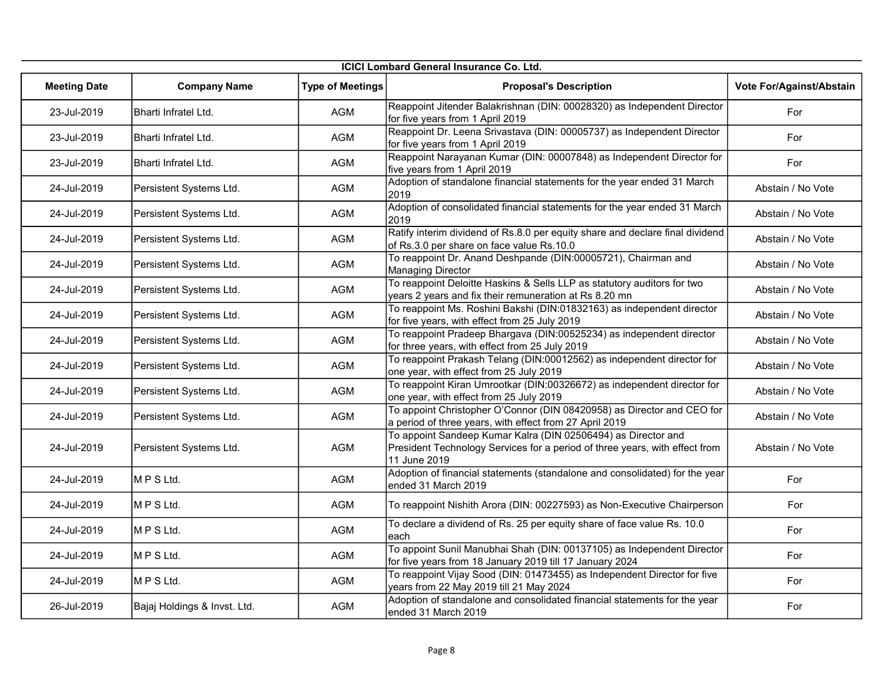| <b>ICICI Lombard General Insurance Co. Ltd.</b> |                              |                         |                                                                                                                                                              |                          |
|-------------------------------------------------|------------------------------|-------------------------|--------------------------------------------------------------------------------------------------------------------------------------------------------------|--------------------------|
| <b>Meeting Date</b>                             | <b>Company Name</b>          | <b>Type of Meetings</b> | <b>Proposal's Description</b>                                                                                                                                | Vote For/Against/Abstain |
| 23-Jul-2019                                     | Bharti Infratel Ltd.         | AGM                     | Reappoint Jitender Balakrishnan (DIN: 00028320) as Independent Director<br>for five years from 1 April 2019                                                  | For                      |
| 23-Jul-2019                                     | Bharti Infratel Ltd.         | AGM                     | Reappoint Dr. Leena Srivastava (DIN: 00005737) as Independent Director<br>for five years from 1 April 2019                                                   | For                      |
| 23-Jul-2019                                     | Bharti Infratel Ltd.         | AGM                     | Reappoint Narayanan Kumar (DIN: 00007848) as Independent Director for<br>five years from 1 April 2019                                                        | For                      |
| 24-Jul-2019                                     | Persistent Systems Ltd.      | <b>AGM</b>              | Adoption of standalone financial statements for the year ended 31 March<br>2019                                                                              | Abstain / No Vote        |
| 24-Jul-2019                                     | Persistent Systems Ltd.      | AGM                     | Adoption of consolidated financial statements for the year ended 31 March<br>2019                                                                            | Abstain / No Vote        |
| 24-Jul-2019                                     | Persistent Systems Ltd.      | <b>AGM</b>              | Ratify interim dividend of Rs.8.0 per equity share and declare final dividend<br>of Rs.3.0 per share on face value Rs.10.0                                   | Abstain / No Vote        |
| 24-Jul-2019                                     | Persistent Systems Ltd.      | AGM                     | To reappoint Dr. Anand Deshpande (DIN:00005721), Chairman and<br><b>Managing Director</b>                                                                    | Abstain / No Vote        |
| 24-Jul-2019                                     | Persistent Systems Ltd.      | AGM                     | To reappoint Deloitte Haskins & Sells LLP as statutory auditors for two<br>years 2 years and fix their remuneration at Rs 8.20 mn                            | Abstain / No Vote        |
| 24-Jul-2019                                     | Persistent Systems Ltd.      | AGM                     | To reappoint Ms. Roshini Bakshi (DIN:01832163) as independent director<br>for five years, with effect from 25 July 2019                                      | Abstain / No Vote        |
| 24-Jul-2019                                     | Persistent Systems Ltd.      | AGM                     | To reappoint Pradeep Bhargava (DIN:00525234) as independent director<br>for three years, with effect from 25 July 2019                                       | Abstain / No Vote        |
| 24-Jul-2019                                     | Persistent Systems Ltd.      | <b>AGM</b>              | To reappoint Prakash Telang (DIN:00012562) as independent director for<br>one year, with effect from 25 July 2019                                            | Abstain / No Vote        |
| 24-Jul-2019                                     | Persistent Systems Ltd.      | <b>AGM</b>              | To reappoint Kiran Umrootkar (DIN:00326672) as independent director for<br>one year, with effect from 25 July 2019                                           | Abstain / No Vote        |
| 24-Jul-2019                                     | Persistent Systems Ltd.      | <b>AGM</b>              | To appoint Christopher O'Connor (DIN 08420958) as Director and CEO for<br>a period of three years, with effect from 27 April 2019                            | Abstain / No Vote        |
| 24-Jul-2019                                     | Persistent Systems Ltd.      | AGM                     | To appoint Sandeep Kumar Kalra (DIN 02506494) as Director and<br>President Technology Services for a period of three years, with effect from<br>11 June 2019 | Abstain / No Vote        |
| 24-Jul-2019                                     | MPSLtd.                      | <b>AGM</b>              | Adoption of financial statements (standalone and consolidated) for the year<br>ended 31 March 2019                                                           | For                      |
| 24-Jul-2019                                     | MPSLtd.                      | <b>AGM</b>              | To reappoint Nishith Arora (DIN: 00227593) as Non-Executive Chairperson                                                                                      | For                      |
| 24-Jul-2019                                     | MPSLtd.                      | <b>AGM</b>              | To declare a dividend of Rs. 25 per equity share of face value Rs. 10.0<br>each                                                                              | For                      |
| 24-Jul-2019                                     | MPSLtd.                      | <b>AGM</b>              | To appoint Sunil Manubhai Shah (DIN: 00137105) as Independent Director<br>for five years from 18 January 2019 till 17 January 2024                           | For                      |
| 24-Jul-2019                                     | MPSLtd.                      | AGM                     | To reappoint Vijay Sood (DIN: 01473455) as Independent Director for five<br>years from 22 May 2019 till 21 May 2024                                          | For                      |
| 26-Jul-2019                                     | Bajaj Holdings & Invst. Ltd. | <b>AGM</b>              | Adoption of standalone and consolidated financial statements for the year<br>ended 31 March 2019                                                             | For                      |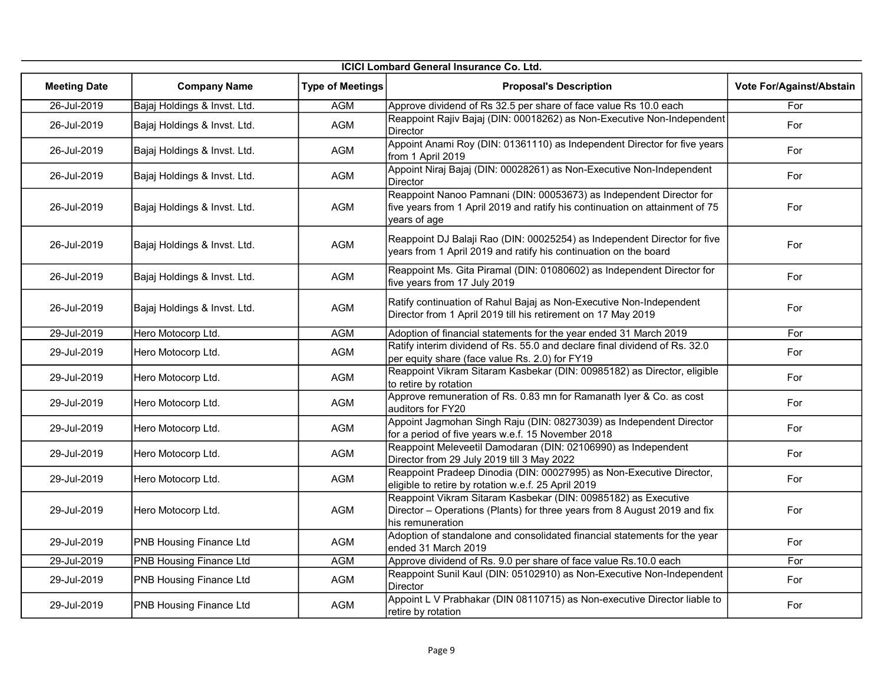| <b>ICICI Lombard General Insurance Co. Ltd.</b> |                                |                         |                                                                                                                                                                     |                          |
|-------------------------------------------------|--------------------------------|-------------------------|---------------------------------------------------------------------------------------------------------------------------------------------------------------------|--------------------------|
| <b>Meeting Date</b>                             | <b>Company Name</b>            | <b>Type of Meetings</b> | <b>Proposal's Description</b>                                                                                                                                       | Vote For/Against/Abstain |
| 26-Jul-2019                                     | Bajaj Holdings & Invst. Ltd.   | <b>AGM</b>              | Approve dividend of Rs 32.5 per share of face value Rs 10.0 each                                                                                                    | For                      |
| 26-Jul-2019                                     | Bajaj Holdings & Invst. Ltd.   | <b>AGM</b>              | Reappoint Rajiv Bajaj (DIN: 00018262) as Non-Executive Non-Independent<br><b>Director</b>                                                                           | For                      |
| 26-Jul-2019                                     | Bajaj Holdings & Invst. Ltd.   | AGM                     | Appoint Anami Roy (DIN: 01361110) as Independent Director for five years<br>from 1 April 2019                                                                       | For                      |
| 26-Jul-2019                                     | Bajaj Holdings & Invst. Ltd.   | AGM                     | Appoint Niraj Bajaj (DIN: 00028261) as Non-Executive Non-Independent<br>Director                                                                                    | For                      |
| 26-Jul-2019                                     | Bajaj Holdings & Invst. Ltd.   | <b>AGM</b>              | Reappoint Nanoo Pamnani (DIN: 00053673) as Independent Director for<br>five years from 1 April 2019 and ratify his continuation on attainment of 75<br>years of age | For                      |
| 26-Jul-2019                                     | Bajaj Holdings & Invst. Ltd.   | <b>AGM</b>              | Reappoint DJ Balaji Rao (DIN: 00025254) as Independent Director for five<br>years from 1 April 2019 and ratify his continuation on the board                        | For                      |
| 26-Jul-2019                                     | Bajaj Holdings & Invst. Ltd.   | AGM                     | Reappoint Ms. Gita Piramal (DIN: 01080602) as Independent Director for<br>five years from 17 July 2019                                                              | For                      |
| 26-Jul-2019                                     | Bajaj Holdings & Invst. Ltd.   | AGM                     | Ratify continuation of Rahul Bajaj as Non-Executive Non-Independent<br>Director from 1 April 2019 till his retirement on 17 May 2019                                | For                      |
| 29-Jul-2019                                     | Hero Motocorp Ltd.             | <b>AGM</b>              | Adoption of financial statements for the year ended 31 March 2019                                                                                                   | For                      |
| 29-Jul-2019                                     | Hero Motocorp Ltd.             | <b>AGM</b>              | Ratify interim dividend of Rs. 55.0 and declare final dividend of Rs. 32.0<br>per equity share (face value Rs. 2.0) for FY19                                        | For                      |
| 29-Jul-2019                                     | Hero Motocorp Ltd.             | <b>AGM</b>              | Reappoint Vikram Sitaram Kasbekar (DIN: 00985182) as Director, eligible<br>to retire by rotation                                                                    | For                      |
| 29-Jul-2019                                     | Hero Motocorp Ltd.             | AGM                     | Approve remuneration of Rs. 0.83 mn for Ramanath Iyer & Co. as cost<br>auditors for FY20                                                                            | For                      |
| 29-Jul-2019                                     | Hero Motocorp Ltd.             | <b>AGM</b>              | Appoint Jagmohan Singh Raju (DIN: 08273039) as Independent Director<br>for a period of five years w.e.f. 15 November 2018                                           | For                      |
| 29-Jul-2019                                     | Hero Motocorp Ltd.             | <b>AGM</b>              | Reappoint Meleveetil Damodaran (DIN: 02106990) as Independent<br>Director from 29 July 2019 till 3 May 2022                                                         | For                      |
| 29-Jul-2019                                     | Hero Motocorp Ltd.             | <b>AGM</b>              | Reappoint Pradeep Dinodia (DIN: 00027995) as Non-Executive Director,<br>eligible to retire by rotation w.e.f. 25 April 2019                                         | For                      |
| 29-Jul-2019                                     | Hero Motocorp Ltd.             | AGM                     | Reappoint Vikram Sitaram Kasbekar (DIN: 00985182) as Executive<br>Director - Operations (Plants) for three years from 8 August 2019 and fix<br>his remuneration     | For                      |
| 29-Jul-2019                                     | <b>PNB Housing Finance Ltd</b> | AGM                     | Adoption of standalone and consolidated financial statements for the year<br>ended 31 March 2019                                                                    | For                      |
| 29-Jul-2019                                     | <b>PNB Housing Finance Ltd</b> | <b>AGM</b>              | Approve dividend of Rs. 9.0 per share of face value Rs.10.0 each                                                                                                    | For                      |
| 29-Jul-2019                                     | <b>PNB Housing Finance Ltd</b> | <b>AGM</b>              | Reappoint Sunil Kaul (DIN: 05102910) as Non-Executive Non-Independent<br><b>Director</b>                                                                            | For                      |
| 29-Jul-2019                                     | <b>PNB Housing Finance Ltd</b> | <b>AGM</b>              | Appoint L V Prabhakar (DIN 08110715) as Non-executive Director liable to<br>retire by rotation                                                                      | For                      |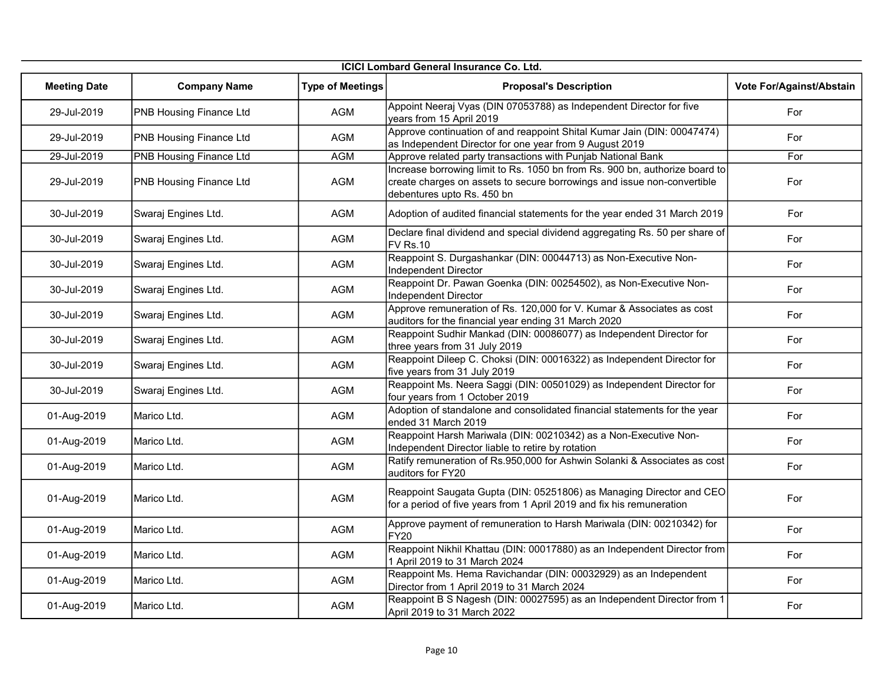| <b>ICICI Lombard General Insurance Co. Ltd.</b> |                                |                         |                                                                                                                                                                                      |                          |
|-------------------------------------------------|--------------------------------|-------------------------|--------------------------------------------------------------------------------------------------------------------------------------------------------------------------------------|--------------------------|
| <b>Meeting Date</b>                             | <b>Company Name</b>            | <b>Type of Meetings</b> | <b>Proposal's Description</b>                                                                                                                                                        | Vote For/Against/Abstain |
| 29-Jul-2019                                     | <b>PNB Housing Finance Ltd</b> | <b>AGM</b>              | Appoint Neeraj Vyas (DIN 07053788) as Independent Director for five<br>years from 15 April 2019                                                                                      | For                      |
| 29-Jul-2019                                     | PNB Housing Finance Ltd        | AGM                     | Approve continuation of and reappoint Shital Kumar Jain (DIN: 00047474)<br>as Independent Director for one year from 9 August 2019                                                   | For                      |
| 29-Jul-2019                                     | <b>PNB Housing Finance Ltd</b> | <b>AGM</b>              | Approve related party transactions with Punjab National Bank                                                                                                                         | For                      |
| 29-Jul-2019                                     | PNB Housing Finance Ltd        | AGM                     | Increase borrowing limit to Rs. 1050 bn from Rs. 900 bn, authorize board to<br>create charges on assets to secure borrowings and issue non-convertible<br>debentures upto Rs. 450 bn | For                      |
| 30-Jul-2019                                     | Swaraj Engines Ltd.            | AGM                     | Adoption of audited financial statements for the year ended 31 March 2019                                                                                                            | For                      |
| 30-Jul-2019                                     | Swaraj Engines Ltd.            | <b>AGM</b>              | Declare final dividend and special dividend aggregating Rs. 50 per share of<br><b>FV Rs.10</b>                                                                                       | For                      |
| 30-Jul-2019                                     | Swaraj Engines Ltd.            | AGM                     | Reappoint S. Durgashankar (DIN: 00044713) as Non-Executive Non-<br><b>Independent Director</b>                                                                                       | For                      |
| 30-Jul-2019                                     | Swaraj Engines Ltd.            | AGM                     | Reappoint Dr. Pawan Goenka (DIN: 00254502), as Non-Executive Non-<br>Independent Director                                                                                            | For                      |
| 30-Jul-2019                                     | Swaraj Engines Ltd.            | AGM                     | Approve remuneration of Rs. 120,000 for V. Kumar & Associates as cost<br>auditors for the financial year ending 31 March 2020                                                        | For                      |
| 30-Jul-2019                                     | Swaraj Engines Ltd.            | AGM                     | Reappoint Sudhir Mankad (DIN: 00086077) as Independent Director for<br>three years from 31 July 2019                                                                                 | For                      |
| 30-Jul-2019                                     | Swaraj Engines Ltd.            | AGM                     | Reappoint Dileep C. Choksi (DIN: 00016322) as Independent Director for<br>five years from 31 July 2019                                                                               | For                      |
| 30-Jul-2019                                     | Swaraj Engines Ltd.            | AGM                     | Reappoint Ms. Neera Saggi (DIN: 00501029) as Independent Director for<br>four years from 1 October 2019                                                                              | For                      |
| 01-Aug-2019                                     | Marico Ltd.                    | <b>AGM</b>              | Adoption of standalone and consolidated financial statements for the year<br>ended 31 March 2019                                                                                     | For                      |
| 01-Aug-2019                                     | Marico Ltd.                    | <b>AGM</b>              | Reappoint Harsh Mariwala (DIN: 00210342) as a Non-Executive Non-<br>Independent Director liable to retire by rotation                                                                | For                      |
| 01-Aug-2019                                     | Marico Ltd.                    | <b>AGM</b>              | Ratify remuneration of Rs.950,000 for Ashwin Solanki & Associates as cost<br>auditors for FY20                                                                                       | For                      |
| 01-Aug-2019                                     | IMarico Ltd.                   | AGM                     | Reappoint Saugata Gupta (DIN: 05251806) as Managing Director and CEO<br>for a period of five years from 1 April 2019 and fix his remuneration                                        | For                      |
| 01-Aug-2019                                     | Marico Ltd.                    | <b>AGM</b>              | Approve payment of remuneration to Harsh Mariwala (DIN: 00210342) for<br><b>FY20</b>                                                                                                 | For                      |
| 01-Aug-2019                                     | Marico Ltd.                    | <b>AGM</b>              | Reappoint Nikhil Khattau (DIN: 00017880) as an Independent Director from<br>1 April 2019 to 31 March 2024                                                                            | For                      |
| 01-Aug-2019                                     | Marico Ltd.                    | <b>AGM</b>              | Reappoint Ms. Hema Ravichandar (DIN: 00032929) as an Independent<br>Director from 1 April 2019 to 31 March 2024                                                                      | For                      |
| 01-Aug-2019                                     | Marico Ltd.                    | <b>AGM</b>              | Reappoint B S Nagesh (DIN: 00027595) as an Independent Director from 1<br>April 2019 to 31 March 2022                                                                                | For                      |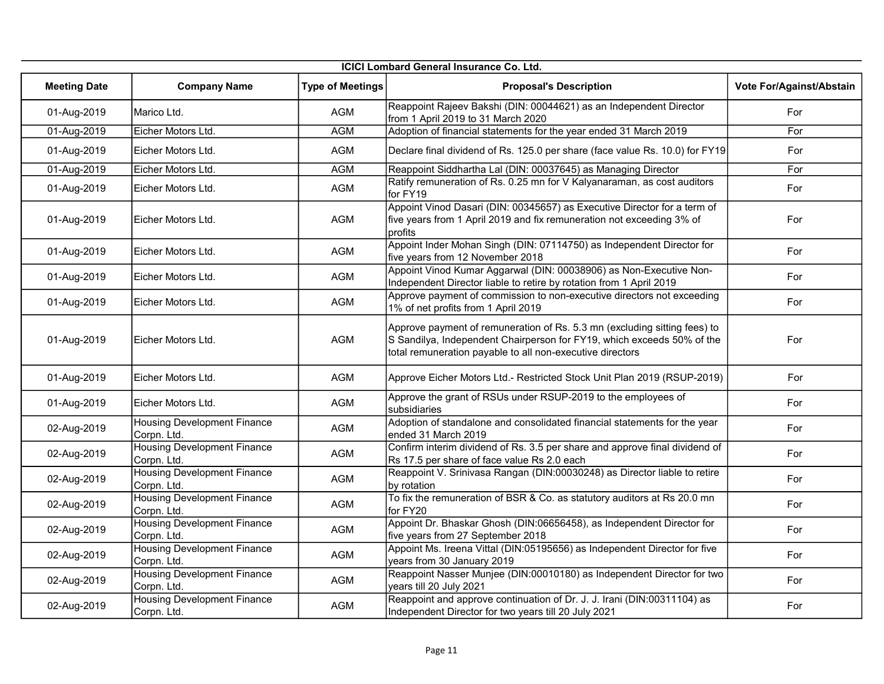| ICICI Lombard General Insurance Co. Ltd. |                                                   |                         |                                                                                                                                                                                                                  |                          |  |
|------------------------------------------|---------------------------------------------------|-------------------------|------------------------------------------------------------------------------------------------------------------------------------------------------------------------------------------------------------------|--------------------------|--|
| <b>Meeting Date</b>                      | <b>Company Name</b>                               | <b>Type of Meetings</b> | <b>Proposal's Description</b>                                                                                                                                                                                    | Vote For/Against/Abstain |  |
| 01-Aug-2019                              | Marico Ltd.                                       | <b>AGM</b>              | Reappoint Rajeev Bakshi (DIN: 00044621) as an Independent Director<br>from 1 April 2019 to 31 March 2020                                                                                                         | For                      |  |
| 01-Aug-2019                              | Eicher Motors Ltd.                                | <b>AGM</b>              | Adoption of financial statements for the year ended 31 March 2019                                                                                                                                                | For                      |  |
| 01-Aug-2019                              | Eicher Motors Ltd.                                | AGM                     | Declare final dividend of Rs. 125.0 per share (face value Rs. 10.0) for FY19                                                                                                                                     | For                      |  |
| 01-Aug-2019                              | Eicher Motors Ltd.                                | <b>AGM</b>              | Reappoint Siddhartha Lal (DIN: 00037645) as Managing Director                                                                                                                                                    | For                      |  |
| 01-Aug-2019                              | Eicher Motors Ltd.                                | AGM                     | Ratify remuneration of Rs. 0.25 mn for V Kalyanaraman, as cost auditors<br>for FY19                                                                                                                              | For                      |  |
| 01-Aug-2019                              | Eicher Motors Ltd.                                | AGM                     | Appoint Vinod Dasari (DIN: 00345657) as Executive Director for a term of<br>five years from 1 April 2019 and fix remuneration not exceeding 3% of<br>profits                                                     | For                      |  |
| 01-Aug-2019                              | Eicher Motors Ltd.                                | <b>AGM</b>              | Appoint Inder Mohan Singh (DIN: 07114750) as Independent Director for<br>five years from 12 November 2018                                                                                                        | For                      |  |
| 01-Aug-2019                              | Eicher Motors Ltd.                                | AGM                     | Appoint Vinod Kumar Aggarwal (DIN: 00038906) as Non-Executive Non-<br>Independent Director liable to retire by rotation from 1 April 2019                                                                        | For                      |  |
| 01-Aug-2019                              | Eicher Motors Ltd.                                | AGM                     | Approve payment of commission to non-executive directors not exceeding<br>1% of net profits from 1 April 2019                                                                                                    | For                      |  |
| 01-Aug-2019                              | Eicher Motors Ltd.                                | <b>AGM</b>              | Approve payment of remuneration of Rs. 5.3 mn (excluding sitting fees) to<br>S Sandilya, Independent Chairperson for FY19, which exceeds 50% of the<br>total remuneration payable to all non-executive directors | For                      |  |
| 01-Aug-2019                              | Eicher Motors Ltd.                                | AGM                     | Approve Eicher Motors Ltd.- Restricted Stock Unit Plan 2019 (RSUP-2019)                                                                                                                                          | For                      |  |
| 01-Aug-2019                              | Eicher Motors Ltd.                                | AGM                     | Approve the grant of RSUs under RSUP-2019 to the employees of<br>subsidiaries                                                                                                                                    | For                      |  |
| 02-Aug-2019                              | Housing Development Finance<br>Corpn. Ltd.        | AGM                     | Adoption of standalone and consolidated financial statements for the year<br>ended 31 March 2019                                                                                                                 | For                      |  |
| 02-Aug-2019                              | <b>Housing Development Finance</b><br>Corpn. Ltd. | AGM                     | Confirm interim dividend of Rs. 3.5 per share and approve final dividend of<br>Rs 17.5 per share of face value Rs 2.0 each                                                                                       | For                      |  |
| 02-Aug-2019                              | <b>Housing Development Finance</b><br>Corpn. Ltd. | AGM                     | Reappoint V. Srinivasa Rangan (DIN:00030248) as Director liable to retire<br>by rotation                                                                                                                         | For                      |  |
| 02-Aug-2019                              | <b>Housing Development Finance</b><br>Corpn. Ltd. | AGM                     | To fix the remuneration of BSR & Co. as statutory auditors at Rs 20.0 mn<br>for FY20                                                                                                                             | For                      |  |
| 02-Aug-2019                              | <b>Housing Development Finance</b><br>Corpn. Ltd. | AGM                     | Appoint Dr. Bhaskar Ghosh (DIN:06656458), as Independent Director for<br>five years from 27 September 2018                                                                                                       | For                      |  |
| 02-Aug-2019                              | <b>Housing Development Finance</b><br>Corpn. Ltd. | AGM                     | Appoint Ms. Ireena Vittal (DIN:05195656) as Independent Director for five<br>years from 30 January 2019                                                                                                          | For                      |  |
| 02-Aug-2019                              | <b>Housing Development Finance</b><br>Corpn. Ltd. | <b>AGM</b>              | Reappoint Nasser Munjee (DIN:00010180) as Independent Director for two<br>years till 20 July 2021                                                                                                                | For                      |  |
| 02-Aug-2019                              | <b>Housing Development Finance</b><br>Corpn. Ltd. | <b>AGM</b>              | Reappoint and approve continuation of Dr. J. J. Irani (DIN:00311104) as<br>Independent Director for two years till 20 July 2021                                                                                  | For                      |  |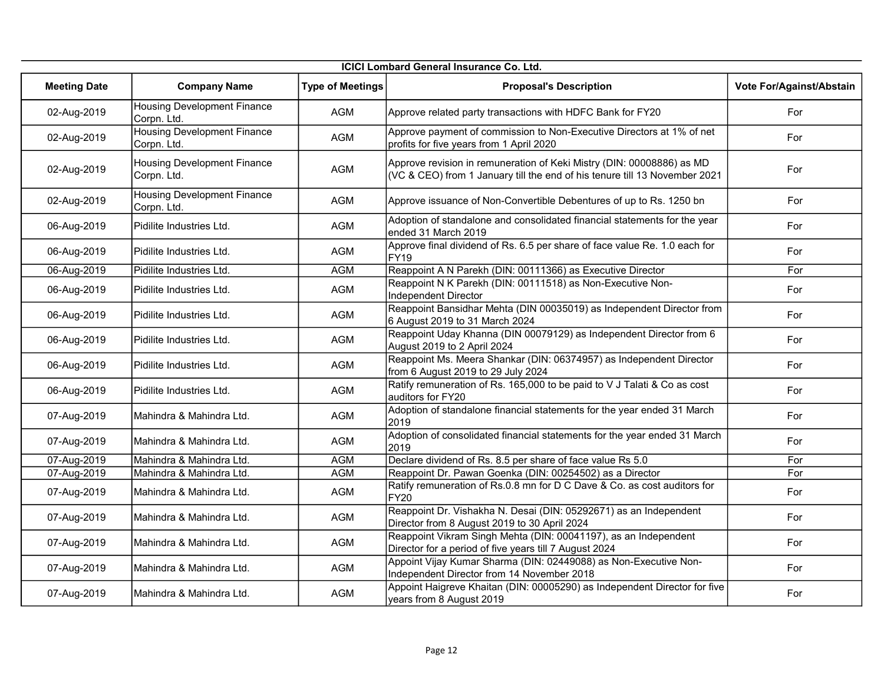| <b>ICICI Lombard General Insurance Co. Ltd.</b> |                                                   |                         |                                                                                                                                                     |                          |
|-------------------------------------------------|---------------------------------------------------|-------------------------|-----------------------------------------------------------------------------------------------------------------------------------------------------|--------------------------|
| <b>Meeting Date</b>                             | <b>Company Name</b>                               | <b>Type of Meetings</b> | <b>Proposal's Description</b>                                                                                                                       | Vote For/Against/Abstain |
| 02-Aug-2019                                     | <b>Housing Development Finance</b><br>Corpn. Ltd. | <b>AGM</b>              | Approve related party transactions with HDFC Bank for FY20                                                                                          | For                      |
| 02-Aug-2019                                     | <b>Housing Development Finance</b><br>Corpn. Ltd. | <b>AGM</b>              | Approve payment of commission to Non-Executive Directors at 1% of net<br>profits for five years from 1 April 2020                                   | For                      |
| 02-Aug-2019                                     | Housing Development Finance<br>Corpn. Ltd.        | AGM                     | Approve revision in remuneration of Keki Mistry (DIN: 00008886) as MD<br>(VC & CEO) from 1 January till the end of his tenure till 13 November 2021 | For                      |
| 02-Aug-2019                                     | <b>Housing Development Finance</b><br>Corpn. Ltd. | <b>AGM</b>              | Approve issuance of Non-Convertible Debentures of up to Rs. 1250 bn                                                                                 | For                      |
| 06-Aug-2019                                     | Pidilite Industries Ltd.                          | <b>AGM</b>              | Adoption of standalone and consolidated financial statements for the year<br>ended 31 March 2019                                                    | For                      |
| 06-Aug-2019                                     | Pidilite Industries Ltd.                          | <b>AGM</b>              | Approve final dividend of Rs. 6.5 per share of face value Re. 1.0 each for<br><b>FY19</b>                                                           | For                      |
| 06-Aug-2019                                     | Pidilite Industries Ltd.                          | <b>AGM</b>              | Reappoint A N Parekh (DIN: 00111366) as Executive Director                                                                                          | For                      |
| 06-Aug-2019                                     | Pidilite Industries Ltd.                          | AGM                     | Reappoint N K Parekh (DIN: 00111518) as Non-Executive Non-<br>Independent Director                                                                  | For                      |
| 06-Aug-2019                                     | Pidilite Industries Ltd.                          | <b>AGM</b>              | Reappoint Bansidhar Mehta (DIN 00035019) as Independent Director from<br>6 August 2019 to 31 March 2024                                             | For                      |
| 06-Aug-2019                                     | Pidilite Industries Ltd.                          | AGM                     | Reappoint Uday Khanna (DIN 00079129) as Independent Director from 6<br>August 2019 to 2 April 2024                                                  | For                      |
| 06-Aug-2019                                     | Pidilite Industries Ltd.                          | <b>AGM</b>              | Reappoint Ms. Meera Shankar (DIN: 06374957) as Independent Director<br>from 6 August 2019 to 29 July 2024                                           | For                      |
| 06-Aug-2019                                     | Pidilite Industries Ltd.                          | AGM                     | Ratify remuneration of Rs. 165,000 to be paid to V J Talati & Co as cost<br>auditors for FY20                                                       | For                      |
| 07-Aug-2019                                     | IMahindra & Mahindra Ltd.                         | AGM                     | Adoption of standalone financial statements for the year ended 31 March<br>2019                                                                     | For                      |
| 07-Aug-2019                                     | Mahindra & Mahindra Ltd.                          | AGM                     | Adoption of consolidated financial statements for the year ended 31 March<br>2019                                                                   | For                      |
| 07-Aug-2019                                     | Mahindra & Mahindra Ltd.                          | <b>AGM</b>              | Declare dividend of Rs. 8.5 per share of face value Rs 5.0                                                                                          | For                      |
| 07-Aug-2019                                     | Mahindra & Mahindra Ltd.                          | <b>AGM</b>              | Reappoint Dr. Pawan Goenka (DIN: 00254502) as a Director                                                                                            | For                      |
| 07-Aug-2019                                     | Mahindra & Mahindra Ltd.                          | AGM                     | Ratify remuneration of Rs.0.8 mn for D C Dave & Co. as cost auditors for<br><b>FY20</b>                                                             | For                      |
| 07-Aug-2019                                     | Mahindra & Mahindra Ltd.                          | AGM                     | Reappoint Dr. Vishakha N. Desai (DIN: 05292671) as an Independent<br>Director from 8 August 2019 to 30 April 2024                                   | For                      |
| 07-Aug-2019                                     | Mahindra & Mahindra Ltd.                          | AGM                     | Reappoint Vikram Singh Mehta (DIN: 00041197), as an Independent<br>Director for a period of five years till 7 August 2024                           | For                      |
| 07-Aug-2019                                     | Mahindra & Mahindra Ltd.                          | AGM                     | Appoint Vijay Kumar Sharma (DIN: 02449088) as Non-Executive Non-<br>Independent Director from 14 November 2018                                      | For                      |
| 07-Aug-2019                                     | Mahindra & Mahindra Ltd.                          | <b>AGM</b>              | Appoint Haigreve Khaitan (DIN: 00005290) as Independent Director for five<br>years from 8 August 2019                                               | For                      |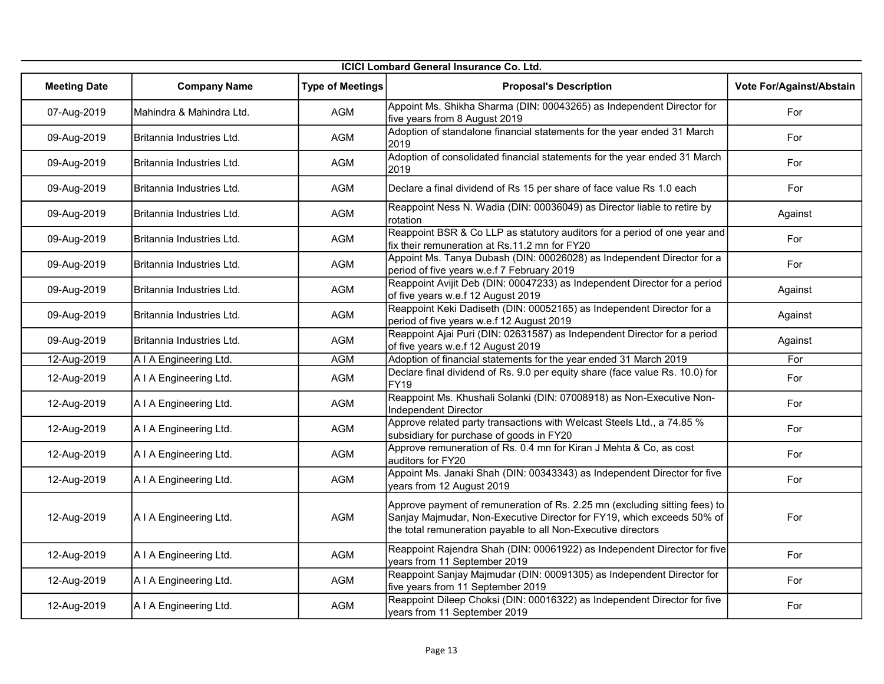| ICICI Lombard General Insurance Co. Ltd. |                            |                         |                                                                                                                                                                                                                       |                          |
|------------------------------------------|----------------------------|-------------------------|-----------------------------------------------------------------------------------------------------------------------------------------------------------------------------------------------------------------------|--------------------------|
| <b>Meeting Date</b>                      | <b>Company Name</b>        | <b>Type of Meetings</b> | <b>Proposal's Description</b>                                                                                                                                                                                         | Vote For/Against/Abstain |
| 07-Aug-2019                              | Mahindra & Mahindra Ltd.   | <b>AGM</b>              | Appoint Ms. Shikha Sharma (DIN: 00043265) as Independent Director for<br>five years from 8 August 2019                                                                                                                | For                      |
| 09-Aug-2019                              | Britannia Industries Ltd.  | <b>AGM</b>              | Adoption of standalone financial statements for the year ended 31 March<br>2019                                                                                                                                       | For                      |
| 09-Aug-2019                              | IBritannia Industries Ltd. | AGM                     | Adoption of consolidated financial statements for the year ended 31 March<br>2019                                                                                                                                     | For                      |
| 09-Aug-2019                              | Britannia Industries Ltd.  | AGM                     | Declare a final dividend of Rs 15 per share of face value Rs 1.0 each                                                                                                                                                 | For                      |
| 09-Aug-2019                              | IBritannia Industries Ltd. | AGM                     | Reappoint Ness N. Wadia (DIN: 00036049) as Director liable to retire by<br>rotation                                                                                                                                   | Against                  |
| 09-Aug-2019                              | Britannia Industries Ltd.  | <b>AGM</b>              | Reappoint BSR & Co LLP as statutory auditors for a period of one year and<br>fix their remuneration at Rs.11.2 mn for FY20                                                                                            | For                      |
| 09-Aug-2019                              | Britannia Industries Ltd.  | AGM                     | Appoint Ms. Tanya Dubash (DIN: 00026028) as Independent Director for a<br>period of five years w.e.f 7 February 2019                                                                                                  | For                      |
| 09-Aug-2019                              | Britannia Industries Ltd.  | AGM                     | Reappoint Avijit Deb (DIN: 00047233) as Independent Director for a period<br>of five years w.e.f 12 August 2019                                                                                                       | Against                  |
| 09-Aug-2019                              | Britannia Industries Ltd.  | AGM                     | Reappoint Keki Dadiseth (DIN: 00052165) as Independent Director for a<br>period of five years w.e.f 12 August 2019                                                                                                    | Against                  |
| 09-Aug-2019                              | Britannia Industries Ltd.  | <b>AGM</b>              | Reappoint Ajai Puri (DIN: 02631587) as Independent Director for a period<br>of five years w.e.f 12 August 2019                                                                                                        | Against                  |
| 12-Aug-2019                              | A I A Engineering Ltd.     | <b>AGM</b>              | Adoption of financial statements for the year ended 31 March 2019                                                                                                                                                     | For                      |
| 12-Aug-2019                              | A I A Engineering Ltd.     | AGM                     | Declare final dividend of Rs. 9.0 per equity share (face value Rs. 10.0) for<br><b>FY19</b>                                                                                                                           | For                      |
| 12-Aug-2019                              | A I A Engineering Ltd.     | AGM                     | Reappoint Ms. Khushali Solanki (DIN: 07008918) as Non-Executive Non-<br>Independent Director                                                                                                                          | For                      |
| 12-Aug-2019                              | A I A Engineering Ltd.     | AGM                     | Approve related party transactions with Welcast Steels Ltd., a 74.85 %<br>subsidiary for purchase of goods in FY20                                                                                                    | For                      |
| 12-Aug-2019                              | A I A Engineering Ltd.     | AGM                     | Approve remuneration of Rs. 0.4 mn for Kiran J Mehta & Co, as cost<br>auditors for FY20                                                                                                                               | For                      |
| 12-Aug-2019                              | A I A Engineering Ltd.     | <b>AGM</b>              | Appoint Ms. Janaki Shah (DIN: 00343343) as Independent Director for five<br>years from 12 August 2019                                                                                                                 | For                      |
| 12-Aug-2019                              | A I A Engineering Ltd.     | AGM                     | Approve payment of remuneration of Rs. 2.25 mn (excluding sitting fees) to<br>Sanjay Majmudar, Non-Executive Director for FY19, which exceeds 50% of<br>the total remuneration payable to all Non-Executive directors | For                      |
| 12-Aug-2019                              | A I A Engineering Ltd.     | AGM                     | Reappoint Rajendra Shah (DIN: 00061922) as Independent Director for five<br>years from 11 September 2019                                                                                                              | For                      |
| 12-Aug-2019                              | A I A Engineering Ltd.     | <b>AGM</b>              | Reappoint Sanjay Majmudar (DIN: 00091305) as Independent Director for<br>five years from 11 September 2019                                                                                                            | For                      |
| 12-Aug-2019                              | A I A Engineering Ltd.     | <b>AGM</b>              | Reappoint Dileep Choksi (DIN: 00016322) as Independent Director for five<br>years from 11 September 2019                                                                                                              | For                      |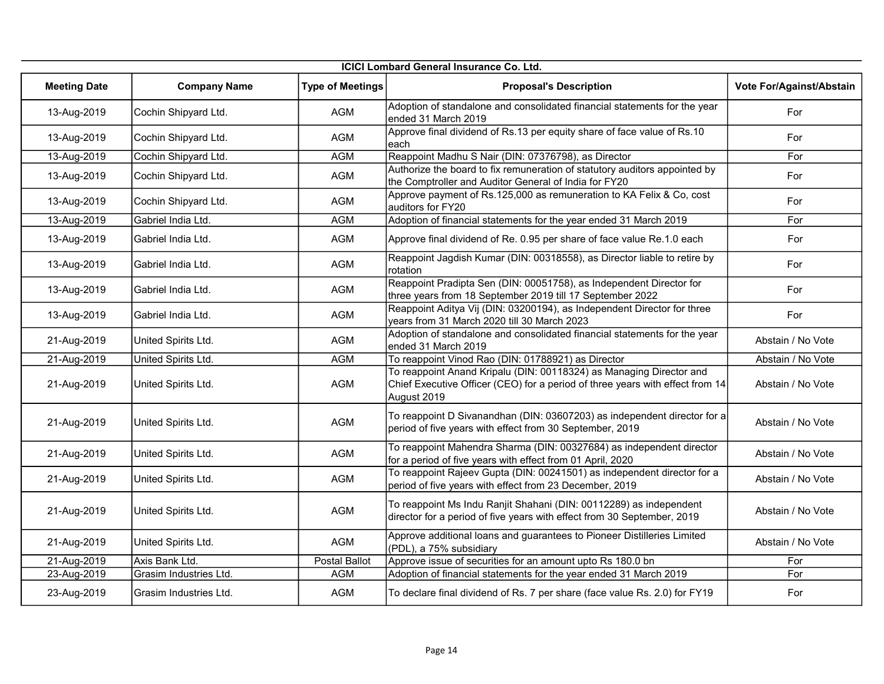|                     | <b>ICICI Lombard General Insurance Co. Ltd.</b> |                         |                                                                                                                                                                     |                          |  |  |
|---------------------|-------------------------------------------------|-------------------------|---------------------------------------------------------------------------------------------------------------------------------------------------------------------|--------------------------|--|--|
| <b>Meeting Date</b> | <b>Company Name</b>                             | <b>Type of Meetings</b> | <b>Proposal's Description</b>                                                                                                                                       | Vote For/Against/Abstain |  |  |
| 13-Aug-2019         | Cochin Shipyard Ltd.                            | <b>AGM</b>              | Adoption of standalone and consolidated financial statements for the year<br>ended 31 March 2019                                                                    | For                      |  |  |
| 13-Aug-2019         | Cochin Shipyard Ltd.                            | <b>AGM</b>              | Approve final dividend of Rs.13 per equity share of face value of Rs.10<br>each                                                                                     | For                      |  |  |
| 13-Aug-2019         | Cochin Shipyard Ltd.                            | <b>AGM</b>              | Reappoint Madhu S Nair (DIN: 07376798), as Director                                                                                                                 | For                      |  |  |
| 13-Aug-2019         | Cochin Shipyard Ltd.                            | <b>AGM</b>              | Authorize the board to fix remuneration of statutory auditors appointed by<br>the Comptroller and Auditor General of India for FY20                                 | For                      |  |  |
| 13-Aug-2019         | Cochin Shipyard Ltd.                            | <b>AGM</b>              | Approve payment of Rs.125,000 as remuneration to KA Felix & Co, cost<br>auditors for FY20                                                                           | For                      |  |  |
| 13-Aug-2019         | Gabriel India Ltd.                              | <b>AGM</b>              | Adoption of financial statements for the year ended 31 March 2019                                                                                                   | For                      |  |  |
| 13-Aug-2019         | Gabriel India Ltd.                              | <b>AGM</b>              | Approve final dividend of Re. 0.95 per share of face value Re.1.0 each                                                                                              | For                      |  |  |
| 13-Aug-2019         | Gabriel India Ltd.                              | <b>AGM</b>              | Reappoint Jagdish Kumar (DIN: 00318558), as Director liable to retire by<br>rotation                                                                                | For                      |  |  |
| 13-Aug-2019         | Gabriel India Ltd.                              | <b>AGM</b>              | Reappoint Pradipta Sen (DIN: 00051758), as Independent Director for<br>three years from 18 September 2019 till 17 September 2022                                    | For                      |  |  |
| 13-Aug-2019         | Gabriel India Ltd.                              | <b>AGM</b>              | Reappoint Aditya Vij (DIN: 03200194), as Independent Director for three<br>years from 31 March 2020 till 30 March 2023                                              | For                      |  |  |
| 21-Aug-2019         | United Spirits Ltd.                             | AGM                     | Adoption of standalone and consolidated financial statements for the year<br>ended 31 March 2019                                                                    | Abstain / No Vote        |  |  |
| 21-Aug-2019         | United Spirits Ltd.                             | <b>AGM</b>              | To reappoint Vinod Rao (DIN: 01788921) as Director                                                                                                                  | Abstain / No Vote        |  |  |
| 21-Aug-2019         | United Spirits Ltd.                             | <b>AGM</b>              | To reappoint Anand Kripalu (DIN: 00118324) as Managing Director and<br>Chief Executive Officer (CEO) for a period of three years with effect from 14<br>August 2019 | Abstain / No Vote        |  |  |
| 21-Aug-2019         | United Spirits Ltd.                             | AGM                     | To reappoint D Sivanandhan (DIN: 03607203) as independent director for a<br>period of five years with effect from 30 September, 2019                                | Abstain / No Vote        |  |  |
| 21-Aug-2019         | United Spirits Ltd.                             | <b>AGM</b>              | To reappoint Mahendra Sharma (DIN: 00327684) as independent director<br>for a period of five years with effect from 01 April, 2020                                  | Abstain / No Vote        |  |  |
| 21-Aug-2019         | United Spirits Ltd.                             | <b>AGM</b>              | To reappoint Rajeev Gupta (DIN: 00241501) as independent director for a<br>period of five years with effect from 23 December, 2019                                  | Abstain / No Vote        |  |  |
| 21-Aug-2019         | United Spirits Ltd.                             | AGM                     | To reappoint Ms Indu Ranjit Shahani (DIN: 00112289) as independent<br>director for a period of five years with effect from 30 September, 2019                       | Abstain / No Vote        |  |  |
| 21-Aug-2019         | United Spirits Ltd.                             | <b>AGM</b>              | Approve additional loans and guarantees to Pioneer Distilleries Limited<br>(PDL), a 75% subsidiary                                                                  | Abstain / No Vote        |  |  |
| 21-Aug-2019         | Axis Bank Ltd.                                  | <b>Postal Ballot</b>    | Approve issue of securities for an amount upto Rs 180.0 bn                                                                                                          | For                      |  |  |
| 23-Aug-2019         | Grasim Industries Ltd.                          | <b>AGM</b>              | Adoption of financial statements for the year ended 31 March 2019                                                                                                   | For                      |  |  |
| 23-Aug-2019         | Grasim Industries Ltd.                          | <b>AGM</b>              | To declare final dividend of Rs. 7 per share (face value Rs. 2.0) for FY19                                                                                          | For                      |  |  |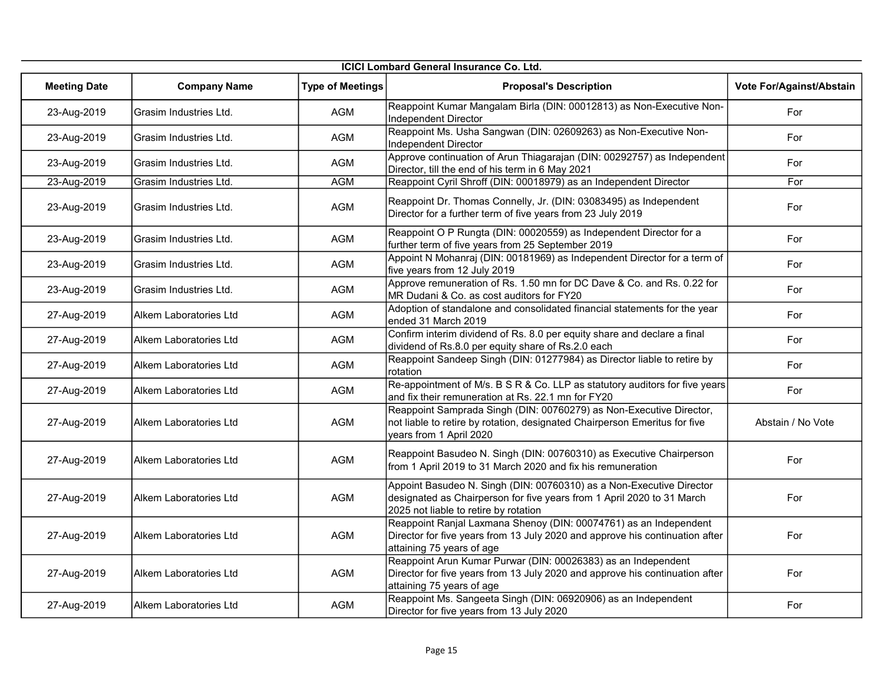|                     | <b>ICICI Lombard General Insurance Co. Ltd.</b> |                         |                                                                                                                                                                                         |                          |  |
|---------------------|-------------------------------------------------|-------------------------|-----------------------------------------------------------------------------------------------------------------------------------------------------------------------------------------|--------------------------|--|
| <b>Meeting Date</b> | <b>Company Name</b>                             | <b>Type of Meetings</b> | <b>Proposal's Description</b>                                                                                                                                                           | Vote For/Against/Abstain |  |
| 23-Aug-2019         | Grasim Industries Ltd.                          | <b>AGM</b>              | Reappoint Kumar Mangalam Birla (DIN: 00012813) as Non-Executive Non-<br>Independent Director                                                                                            | For                      |  |
| 23-Aug-2019         | Grasim Industries Ltd.                          | AGM                     | Reappoint Ms. Usha Sangwan (DIN: 02609263) as Non-Executive Non-<br>Independent Director                                                                                                | For                      |  |
| 23-Aug-2019         | Grasim Industries Ltd.                          | AGM                     | Approve continuation of Arun Thiagarajan (DIN: 00292757) as Independent<br>Director, till the end of his term in 6 May 2021                                                             | For                      |  |
| 23-Aug-2019         | Grasim Industries Ltd.                          | <b>AGM</b>              | Reappoint Cyril Shroff (DIN: 00018979) as an Independent Director                                                                                                                       | For                      |  |
| 23-Aug-2019         | Grasim Industries Ltd.                          | <b>AGM</b>              | Reappoint Dr. Thomas Connelly, Jr. (DIN: 03083495) as Independent<br>Director for a further term of five years from 23 July 2019                                                        | For                      |  |
| 23-Aug-2019         | Grasim Industries Ltd.                          | <b>AGM</b>              | Reappoint O P Rungta (DIN: 00020559) as Independent Director for a<br>further term of five years from 25 September 2019                                                                 | For                      |  |
| 23-Aug-2019         | Grasim Industries Ltd.                          | AGM                     | Appoint N Mohanraj (DIN: 00181969) as Independent Director for a term of<br>five years from 12 July 2019                                                                                | For                      |  |
| 23-Aug-2019         | Grasim Industries Ltd.                          | AGM                     | Approve remuneration of Rs. 1.50 mn for DC Dave & Co. and Rs. 0.22 for<br>MR Dudani & Co. as cost auditors for FY20                                                                     | For                      |  |
| 27-Aug-2019         | Alkem Laboratories Ltd                          | <b>AGM</b>              | Adoption of standalone and consolidated financial statements for the year<br>ended 31 March 2019                                                                                        | For                      |  |
| 27-Aug-2019         | Alkem Laboratories Ltd                          | AGM                     | Confirm interim dividend of Rs. 8.0 per equity share and declare a final<br>dividend of Rs.8.0 per equity share of Rs.2.0 each                                                          | For                      |  |
| 27-Aug-2019         | Alkem Laboratories Ltd                          | <b>AGM</b>              | Reappoint Sandeep Singh (DIN: 01277984) as Director liable to retire by<br>rotation                                                                                                     | For                      |  |
| 27-Aug-2019         | Alkem Laboratories Ltd                          | <b>AGM</b>              | Re-appointment of M/s. B S R & Co. LLP as statutory auditors for five years<br>and fix their remuneration at Rs. 22.1 mn for FY20                                                       | For                      |  |
| 27-Aug-2019         | Alkem Laboratories Ltd                          | AGM                     | Reappoint Samprada Singh (DIN: 00760279) as Non-Executive Director,<br>not liable to retire by rotation, designated Chairperson Emeritus for five<br>years from 1 April 2020            | Abstain / No Vote        |  |
| 27-Aug-2019         | Alkem Laboratories Ltd                          | <b>AGM</b>              | Reappoint Basudeo N. Singh (DIN: 00760310) as Executive Chairperson<br>from 1 April 2019 to 31 March 2020 and fix his remuneration                                                      | For                      |  |
| 27-Aug-2019         | Alkem Laboratories Ltd                          | AGM                     | Appoint Basudeo N. Singh (DIN: 00760310) as a Non-Executive Director<br>designated as Chairperson for five years from 1 April 2020 to 31 March<br>2025 not liable to retire by rotation | For                      |  |
| 27-Aug-2019         | Alkem Laboratories Ltd                          | <b>AGM</b>              | Reappoint Ranjal Laxmana Shenoy (DIN: 00074761) as an Independent<br>Director for five years from 13 July 2020 and approve his continuation after<br>attaining 75 years of age          | For                      |  |
| 27-Aug-2019         | Alkem Laboratories Ltd                          | <b>AGM</b>              | Reappoint Arun Kumar Purwar (DIN: 00026383) as an Independent<br>Director for five years from 13 July 2020 and approve his continuation after<br>attaining 75 years of age              | For                      |  |
| 27-Aug-2019         | Alkem Laboratories Ltd                          | AGM                     | Reappoint Ms. Sangeeta Singh (DIN: 06920906) as an Independent<br>Director for five years from 13 July 2020                                                                             | For                      |  |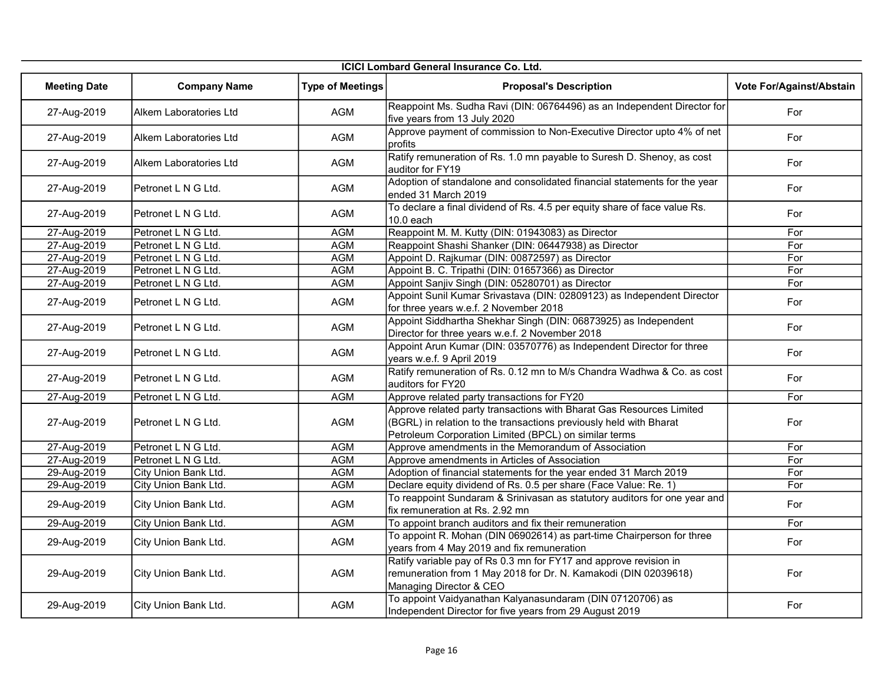| ICICI Lombard General Insurance Co. Ltd. |                        |                         |                                                                                                                                                                                                     |                          |
|------------------------------------------|------------------------|-------------------------|-----------------------------------------------------------------------------------------------------------------------------------------------------------------------------------------------------|--------------------------|
| <b>Meeting Date</b>                      | <b>Company Name</b>    | <b>Type of Meetings</b> | <b>Proposal's Description</b>                                                                                                                                                                       | Vote For/Against/Abstain |
| 27-Aug-2019                              | Alkem Laboratories Ltd | <b>AGM</b>              | Reappoint Ms. Sudha Ravi (DIN: 06764496) as an Independent Director for<br>five years from 13 July 2020                                                                                             | For                      |
| 27-Aug-2019                              | Alkem Laboratories Ltd | <b>AGM</b>              | Approve payment of commission to Non-Executive Director upto 4% of net<br>profits                                                                                                                   | For                      |
| 27-Aug-2019                              | Alkem Laboratories Ltd | <b>AGM</b>              | Ratify remuneration of Rs. 1.0 mn payable to Suresh D. Shenoy, as cost<br>auditor for FY19                                                                                                          | For                      |
| 27-Aug-2019                              | Petronet L N G Ltd.    | AGM                     | Adoption of standalone and consolidated financial statements for the year<br>ended 31 March 2019                                                                                                    | For                      |
| 27-Aug-2019                              | Petronet L N G Ltd.    | AGM                     | To declare a final dividend of Rs. 4.5 per equity share of face value Rs.<br>$10.0$ each                                                                                                            | For                      |
| 27-Aug-2019                              | Petronet L N G Ltd.    | <b>AGM</b>              | Reappoint M. M. Kutty (DIN: 01943083) as Director                                                                                                                                                   | For                      |
| 27-Aug-2019                              | Petronet L N G Ltd.    | <b>AGM</b>              | Reappoint Shashi Shanker (DIN: 06447938) as Director                                                                                                                                                | For                      |
| 27-Aug-2019                              | Petronet L N G Ltd.    | <b>AGM</b>              | Appoint D. Rajkumar (DIN: 00872597) as Director                                                                                                                                                     | For                      |
| 27-Aug-2019                              | Petronet L N G Ltd.    | <b>AGM</b>              | Appoint B. C. Tripathi (DIN: 01657366) as Director                                                                                                                                                  | For                      |
| 27-Aug-2019                              | Petronet L N G Ltd.    | <b>AGM</b>              | Appoint Sanjiv Singh (DIN: 05280701) as Director                                                                                                                                                    | For                      |
| 27-Aug-2019                              | Petronet L N G Ltd.    | <b>AGM</b>              | Appoint Sunil Kumar Srivastava (DIN: 02809123) as Independent Director<br>for three years w.e.f. 2 November 2018                                                                                    | For                      |
| 27-Aug-2019                              | Petronet L N G Ltd.    | <b>AGM</b>              | Appoint Siddhartha Shekhar Singh (DIN: 06873925) as Independent<br>Director for three years w.e.f. 2 November 2018                                                                                  | For                      |
| 27-Aug-2019                              | Petronet L N G Ltd.    | <b>AGM</b>              | Appoint Arun Kumar (DIN: 03570776) as Independent Director for three<br>years w.e.f. 9 April 2019                                                                                                   | For                      |
| 27-Aug-2019                              | Petronet L N G Ltd.    | AGM                     | Ratify remuneration of Rs. 0.12 mn to M/s Chandra Wadhwa & Co. as cost<br>auditors for FY20                                                                                                         | For                      |
| 27-Aug-2019                              | Petronet L N G Ltd.    | <b>AGM</b>              | Approve related party transactions for FY20                                                                                                                                                         | For                      |
| 27-Aug-2019                              | Petronet L N G Ltd.    | <b>AGM</b>              | Approve related party transactions with Bharat Gas Resources Limited<br>(BGRL) in relation to the transactions previously held with Bharat<br>Petroleum Corporation Limited (BPCL) on similar terms | For                      |
| 27-Aug-2019                              | Petronet L N G Ltd.    | <b>AGM</b>              | Approve amendments in the Memorandum of Association                                                                                                                                                 | For                      |
| 27-Aug-2019                              | Petronet L N G Ltd.    | <b>AGM</b>              | Approve amendments in Articles of Association                                                                                                                                                       | For                      |
| 29-Aug-2019                              | City Union Bank Ltd.   | <b>AGM</b>              | Adoption of financial statements for the year ended 31 March 2019                                                                                                                                   | For                      |
| 29-Aug-2019                              | City Union Bank Ltd.   | <b>AGM</b>              | Declare equity dividend of Rs. 0.5 per share (Face Value: Re. 1)                                                                                                                                    | For                      |
| 29-Aug-2019                              | City Union Bank Ltd.   | AGM                     | To reappoint Sundaram & Srinivasan as statutory auditors for one year and<br>fix remuneration at Rs. 2.92 mn                                                                                        | For                      |
| 29-Aug-2019                              | City Union Bank Ltd.   | <b>AGM</b>              | To appoint branch auditors and fix their remuneration                                                                                                                                               | For                      |
| 29-Aug-2019                              | City Union Bank Ltd.   | AGM                     | To appoint R. Mohan (DIN 06902614) as part-time Chairperson for three<br>years from 4 May 2019 and fix remuneration                                                                                 | For                      |
| 29-Aug-2019                              | City Union Bank Ltd.   | <b>AGM</b>              | Ratify variable pay of Rs 0.3 mn for FY17 and approve revision in<br>remuneration from 1 May 2018 for Dr. N. Kamakodi (DIN 02039618)<br>Managing Director & CEO                                     | For                      |
| 29-Aug-2019                              | City Union Bank Ltd.   | AGM                     | To appoint Vaidyanathan Kalyanasundaram (DIN 07120706) as<br>Independent Director for five years from 29 August 2019                                                                                | For                      |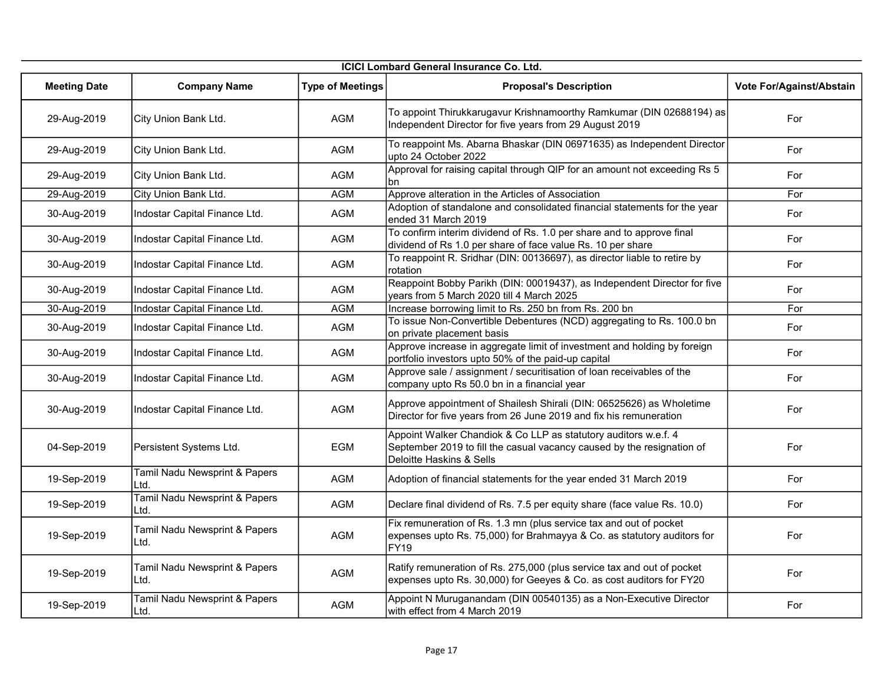| <b>ICICI Lombard General Insurance Co. Ltd.</b> |                                       |                         |                                                                                                                                                                       |                          |
|-------------------------------------------------|---------------------------------------|-------------------------|-----------------------------------------------------------------------------------------------------------------------------------------------------------------------|--------------------------|
| <b>Meeting Date</b>                             | <b>Company Name</b>                   | <b>Type of Meetings</b> | <b>Proposal's Description</b>                                                                                                                                         | Vote For/Against/Abstain |
| 29-Aug-2019                                     | City Union Bank Ltd.                  | <b>AGM</b>              | To appoint Thirukkarugavur Krishnamoorthy Ramkumar (DIN 02688194) as<br>Independent Director for five years from 29 August 2019                                       | For                      |
| 29-Aug-2019                                     | City Union Bank Ltd.                  | <b>AGM</b>              | To reappoint Ms. Abarna Bhaskar (DIN 06971635) as Independent Director<br>upto 24 October 2022                                                                        | For                      |
| 29-Aug-2019                                     | City Union Bank Ltd.                  | <b>AGM</b>              | Approval for raising capital through QIP for an amount not exceeding Rs 5<br>bn                                                                                       | For                      |
| 29-Aug-2019                                     | City Union Bank Ltd.                  | <b>AGM</b>              | Approve alteration in the Articles of Association                                                                                                                     | For                      |
| 30-Aug-2019                                     | Indostar Capital Finance Ltd.         | <b>AGM</b>              | Adoption of standalone and consolidated financial statements for the year<br>ended 31 March 2019                                                                      | For                      |
| 30-Aug-2019                                     | Indostar Capital Finance Ltd.         | <b>AGM</b>              | To confirm interim dividend of Rs. 1.0 per share and to approve final<br>dividend of Rs 1.0 per share of face value Rs. 10 per share                                  | For                      |
| 30-Aug-2019                                     | Indostar Capital Finance Ltd.         | <b>AGM</b>              | To reappoint R. Sridhar (DIN: 00136697), as director liable to retire by<br>rotation                                                                                  | For                      |
| 30-Aug-2019                                     | Indostar Capital Finance Ltd.         | <b>AGM</b>              | Reappoint Bobby Parikh (DIN: 00019437), as Independent Director for five<br>years from 5 March 2020 till 4 March 2025                                                 | For                      |
| 30-Aug-2019                                     | Indostar Capital Finance Ltd.         | <b>AGM</b>              | Increase borrowing limit to Rs. 250 bn from Rs. 200 bn                                                                                                                | For                      |
| 30-Aug-2019                                     | Indostar Capital Finance Ltd.         | <b>AGM</b>              | To issue Non-Convertible Debentures (NCD) aggregating to Rs. 100.0 bn<br>on private placement basis                                                                   | For                      |
| 30-Aug-2019                                     | Indostar Capital Finance Ltd.         | <b>AGM</b>              | Approve increase in aggregate limit of investment and holding by foreign<br>portfolio investors upto 50% of the paid-up capital                                       | For                      |
| 30-Aug-2019                                     | Indostar Capital Finance Ltd.         | <b>AGM</b>              | Approve sale / assignment / securitisation of loan receivables of the<br>company upto Rs 50.0 bn in a financial year                                                  | For                      |
| 30-Aug-2019                                     | Indostar Capital Finance Ltd.         | <b>AGM</b>              | Approve appointment of Shailesh Shirali (DIN: 06525626) as Wholetime<br>Director for five years from 26 June 2019 and fix his remuneration                            | For                      |
| 04-Sep-2019                                     | Persistent Systems Ltd.               | <b>EGM</b>              | Appoint Walker Chandiok & Co LLP as statutory auditors w.e.f. 4<br>September 2019 to fill the casual vacancy caused by the resignation of<br>Deloitte Haskins & Sells | For                      |
| 19-Sep-2019                                     | Tamil Nadu Newsprint & Papers<br>Ltd. | AGM                     | Adoption of financial statements for the year ended 31 March 2019                                                                                                     | For                      |
| 19-Sep-2019                                     | Tamil Nadu Newsprint & Papers<br>Ltd. | AGM                     | Declare final dividend of Rs. 7.5 per equity share (face value Rs. 10.0)                                                                                              | For                      |
| 19-Sep-2019                                     | Tamil Nadu Newsprint & Papers<br>Ltd. | AGM                     | Fix remuneration of Rs. 1.3 mn (plus service tax and out of pocket<br>expenses upto Rs. 75,000) for Brahmayya & Co. as statutory auditors for<br><b>FY19</b>          | For                      |
| 19-Sep-2019                                     | Tamil Nadu Newsprint & Papers<br>Ltd. | AGM                     | Ratify remuneration of Rs. 275,000 (plus service tax and out of pocket<br>expenses upto Rs. 30,000) for Geeyes & Co. as cost auditors for FY20                        | For                      |
| 19-Sep-2019                                     | Tamil Nadu Newsprint & Papers<br>Ltd. | AGM                     | Appoint N Muruganandam (DIN 00540135) as a Non-Executive Director<br>with effect from 4 March 2019                                                                    | For                      |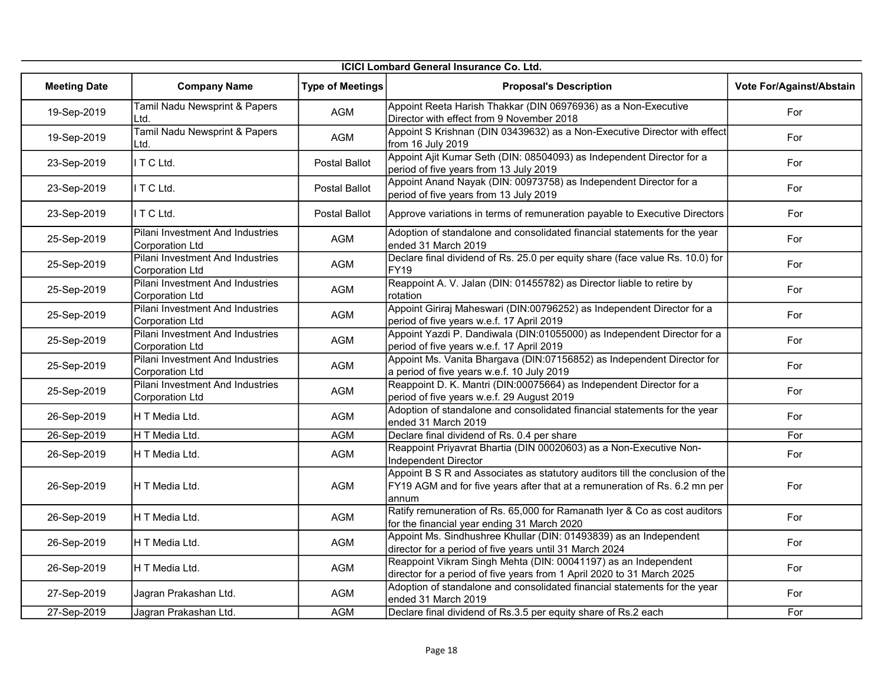| <b>ICICI Lombard General Insurance Co. Ltd.</b> |                                                            |                         |                                                                                                                                                                      |                          |
|-------------------------------------------------|------------------------------------------------------------|-------------------------|----------------------------------------------------------------------------------------------------------------------------------------------------------------------|--------------------------|
| <b>Meeting Date</b>                             | <b>Company Name</b>                                        | <b>Type of Meetings</b> | <b>Proposal's Description</b>                                                                                                                                        | Vote For/Against/Abstain |
| 19-Sep-2019                                     | Tamil Nadu Newsprint & Papers<br>Ltd.                      | <b>AGM</b>              | Appoint Reeta Harish Thakkar (DIN 06976936) as a Non-Executive<br>Director with effect from 9 November 2018                                                          | For                      |
| 19-Sep-2019                                     | Tamil Nadu Newsprint & Papers<br>Ltd.                      | AGM                     | Appoint S Krishnan (DIN 03439632) as a Non-Executive Director with effect<br>from 16 July 2019                                                                       | For                      |
| 23-Sep-2019                                     | ITCLtd.                                                    | Postal Ballot           | Appoint Ajit Kumar Seth (DIN: 08504093) as Independent Director for a<br>period of five years from 13 July 2019                                                      | For                      |
| 23-Sep-2019                                     | ITCLtd.                                                    | Postal Ballot           | Appoint Anand Nayak (DIN: 00973758) as Independent Director for a<br>period of five years from 13 July 2019                                                          | For                      |
| 23-Sep-2019                                     | I T C Ltd.                                                 | Postal Ballot           | Approve variations in terms of remuneration payable to Executive Directors                                                                                           | For                      |
| 25-Sep-2019                                     | Pilani Investment And Industries<br><b>Corporation Ltd</b> | <b>AGM</b>              | Adoption of standalone and consolidated financial statements for the year<br>ended 31 March 2019                                                                     | For                      |
| 25-Sep-2019                                     | Pilani Investment And Industries<br>Corporation Ltd        | AGM                     | Declare final dividend of Rs. 25.0 per equity share (face value Rs. 10.0) for<br><b>FY19</b>                                                                         | For                      |
| 25-Sep-2019                                     | Pilani Investment And Industries<br>Corporation Ltd        | AGM                     | Reappoint A. V. Jalan (DIN: 01455782) as Director liable to retire by<br>rotation                                                                                    | For                      |
| 25-Sep-2019                                     | Pilani Investment And Industries<br><b>Corporation Ltd</b> | AGM                     | Appoint Giriraj Maheswari (DIN:00796252) as Independent Director for a<br>period of five years w.e.f. 17 April 2019                                                  | For                      |
| 25-Sep-2019                                     | Pilani Investment And Industries<br><b>Corporation Ltd</b> | <b>AGM</b>              | Appoint Yazdi P. Dandiwala (DIN:01055000) as Independent Director for a<br>period of five years w.e.f. 17 April 2019                                                 | For                      |
| 25-Sep-2019                                     | Pilani Investment And Industries<br><b>Corporation Ltd</b> | AGM                     | Appoint Ms. Vanita Bhargava (DIN:07156852) as Independent Director for<br>a period of five years w.e.f. 10 July 2019                                                 | For                      |
| 25-Sep-2019                                     | Pilani Investment And Industries<br><b>Corporation Ltd</b> | AGM                     | Reappoint D. K. Mantri (DIN:00075664) as Independent Director for a<br>period of five years w.e.f. 29 August 2019                                                    | For                      |
| 26-Sep-2019                                     | IH T Media Ltd.                                            | <b>AGM</b>              | Adoption of standalone and consolidated financial statements for the year<br>ended 31 March 2019                                                                     | For                      |
| 26-Sep-2019                                     | H T Media Ltd.                                             | <b>AGM</b>              | Declare final dividend of Rs. 0.4 per share                                                                                                                          | For                      |
| 26-Sep-2019                                     | H T Media Ltd.                                             | AGM                     | Reappoint Priyavrat Bhartia (DIN 00020603) as a Non-Executive Non-<br>Independent Director                                                                           | For                      |
| 26-Sep-2019                                     | H T Media Ltd.                                             | <b>AGM</b>              | Appoint B S R and Associates as statutory auditors till the conclusion of the<br>FY19 AGM and for five years after that at a remuneration of Rs. 6.2 mn per<br>annum | For                      |
| 26-Sep-2019                                     | H T Media Ltd.                                             | AGM                     | Ratify remuneration of Rs. 65,000 for Ramanath Iyer & Co as cost auditors<br>for the financial year ending 31 March 2020                                             | For                      |
| 26-Sep-2019                                     | IH T Media Ltd.                                            | <b>AGM</b>              | Appoint Ms. Sindhushree Khullar (DIN: 01493839) as an Independent<br>director for a period of five years until 31 March 2024                                         | For                      |
| 26-Sep-2019                                     | H T Media Ltd.                                             | <b>AGM</b>              | Reappoint Vikram Singh Mehta (DIN: 00041197) as an Independent<br>director for a period of five years from 1 April 2020 to 31 March 2025                             | For                      |
| 27-Sep-2019                                     | Jagran Prakashan Ltd.                                      | AGM                     | Adoption of standalone and consolidated financial statements for the year<br>ended 31 March 2019                                                                     | For                      |
| 27-Sep-2019                                     | Jagran Prakashan Ltd.                                      | <b>AGM</b>              | Declare final dividend of Rs.3.5 per equity share of Rs.2 each                                                                                                       | For                      |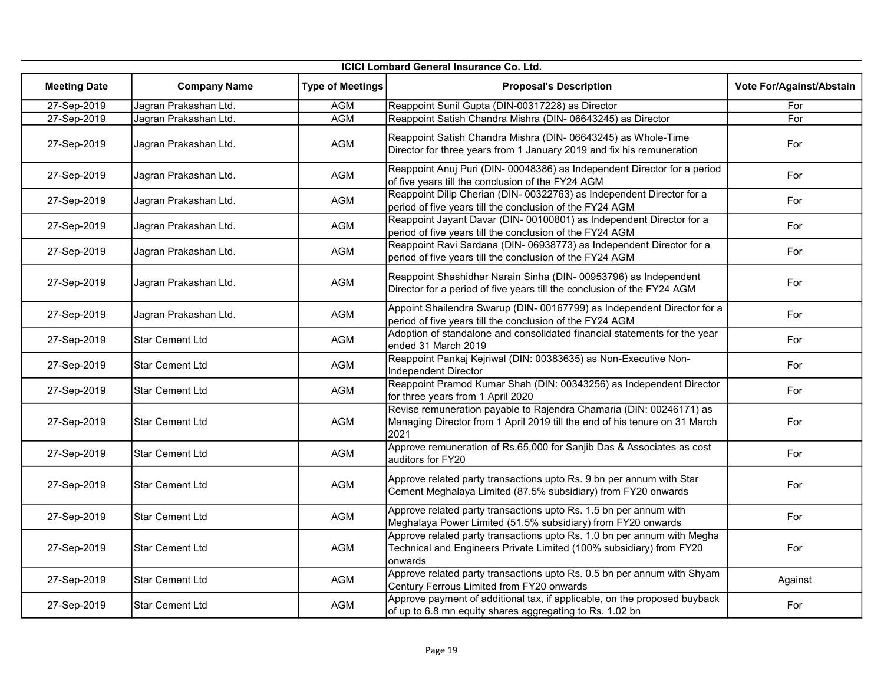|                     | <b>ICICI Lombard General Insurance Co. Ltd.</b> |                         |                                                                                                                                                           |                          |  |  |
|---------------------|-------------------------------------------------|-------------------------|-----------------------------------------------------------------------------------------------------------------------------------------------------------|--------------------------|--|--|
| <b>Meeting Date</b> | <b>Company Name</b>                             | <b>Type of Meetings</b> | <b>Proposal's Description</b>                                                                                                                             | Vote For/Against/Abstain |  |  |
| 27-Sep-2019         | Jagran Prakashan Ltd.                           | AGM                     | Reappoint Sunil Gupta (DIN-00317228) as Director                                                                                                          | For                      |  |  |
| 27-Sep-2019         | Jagran Prakashan Ltd.                           | <b>AGM</b>              | Reappoint Satish Chandra Mishra (DIN- 06643245) as Director                                                                                               | For                      |  |  |
| 27-Sep-2019         | Jagran Prakashan Ltd.                           | AGM                     | Reappoint Satish Chandra Mishra (DIN-06643245) as Whole-Time<br>Director for three years from 1 January 2019 and fix his remuneration                     | For                      |  |  |
| 27-Sep-2019         | Jagran Prakashan Ltd.                           | AGM                     | Reappoint Anuj Puri (DIN- 00048386) as Independent Director for a period<br>of five years till the conclusion of the FY24 AGM                             | For                      |  |  |
| 27-Sep-2019         | Jagran Prakashan Ltd.                           | AGM                     | Reappoint Dilip Cherian (DIN- 00322763) as Independent Director for a<br>period of five years till the conclusion of the FY24 AGM                         | For                      |  |  |
| 27-Sep-2019         | Jagran Prakashan Ltd.                           | <b>AGM</b>              | Reappoint Jayant Davar (DIN-00100801) as Independent Director for a<br>period of five years till the conclusion of the FY24 AGM                           | For                      |  |  |
| 27-Sep-2019         | Jagran Prakashan Ltd.                           | <b>AGM</b>              | Reappoint Ravi Sardana (DIN- 06938773) as Independent Director for a<br>period of five years till the conclusion of the FY24 AGM                          | For                      |  |  |
| 27-Sep-2019         | Jagran Prakashan Ltd.                           | <b>AGM</b>              | Reappoint Shashidhar Narain Sinha (DIN-00953796) as Independent<br>Director for a period of five years till the conclusion of the FY24 AGM                | For                      |  |  |
| 27-Sep-2019         | Jagran Prakashan Ltd.                           | <b>AGM</b>              | Appoint Shailendra Swarup (DIN-00167799) as Independent Director for a<br>period of five years till the conclusion of the FY24 AGM                        | For                      |  |  |
| 27-Sep-2019         | <b>Star Cement Ltd</b>                          | AGM                     | Adoption of standalone and consolidated financial statements for the year<br>ended 31 March 2019                                                          | For                      |  |  |
| 27-Sep-2019         | <b>Star Cement Ltd</b>                          | AGM                     | Reappoint Pankaj Kejriwal (DIN: 00383635) as Non-Executive Non-<br>Independent Director                                                                   | For                      |  |  |
| 27-Sep-2019         | <b>Star Cement Ltd</b>                          | AGM                     | Reappoint Pramod Kumar Shah (DIN: 00343256) as Independent Director<br>for three years from 1 April 2020                                                  | For                      |  |  |
| 27-Sep-2019         | <b>Star Cement Ltd</b>                          | <b>AGM</b>              | Revise remuneration payable to Rajendra Chamaria (DIN: 00246171) as<br>Managing Director from 1 April 2019 till the end of his tenure on 31 March<br>2021 | For                      |  |  |
| 27-Sep-2019         | <b>Star Cement Ltd</b>                          | AGM                     | Approve remuneration of Rs.65,000 for Sanjib Das & Associates as cost<br>auditors for FY20                                                                | For                      |  |  |
| 27-Sep-2019         | <b>Star Cement Ltd</b>                          | AGM                     | Approve related party transactions upto Rs. 9 bn per annum with Star<br>Cement Meghalaya Limited (87.5% subsidiary) from FY20 onwards                     | For                      |  |  |
| 27-Sep-2019         | <b>Star Cement Ltd</b>                          | AGM                     | Approve related party transactions upto Rs. 1.5 bn per annum with<br>Meghalaya Power Limited (51.5% subsidiary) from FY20 onwards                         | For                      |  |  |
| 27-Sep-2019         | <b>Star Cement Ltd</b>                          | AGM                     | Approve related party transactions upto Rs. 1.0 bn per annum with Megha<br>Technical and Engineers Private Limited (100% subsidiary) from FY20<br>onwards | For                      |  |  |
| 27-Sep-2019         | <b>Star Cement Ltd</b>                          | <b>AGM</b>              | Approve related party transactions upto Rs. 0.5 bn per annum with Shyam<br>Century Ferrous Limited from FY20 onwards                                      | Against                  |  |  |
| 27-Sep-2019         | <b>Star Cement Ltd</b>                          | <b>AGM</b>              | Approve payment of additional tax, if applicable, on the proposed buyback<br>of up to 6.8 mn equity shares aggregating to Rs. 1.02 bn                     | For                      |  |  |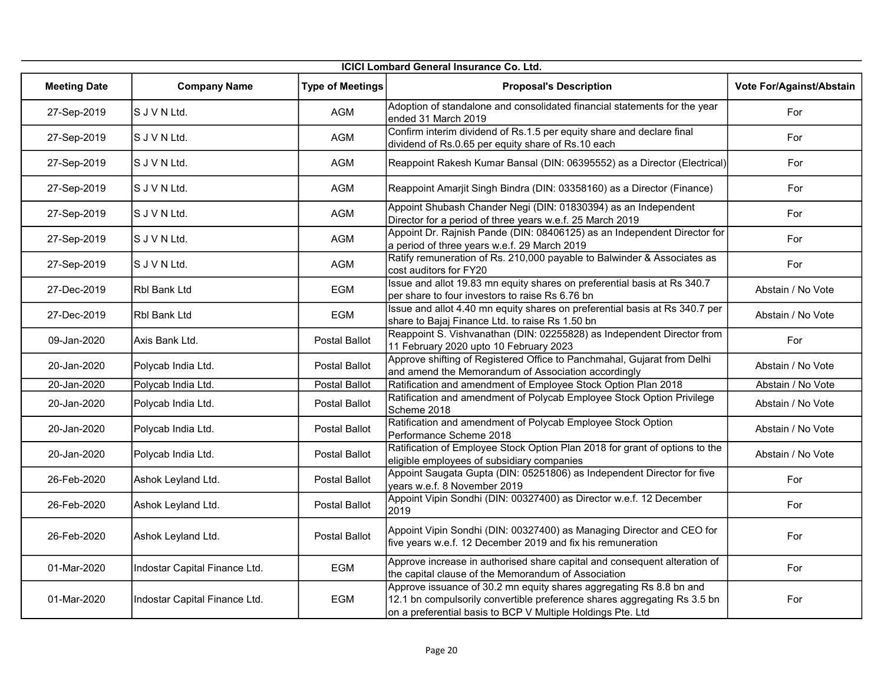| <b>ICICI Lombard General Insurance Co. Ltd.</b> |                               |                         |                                                                                                                                                                                                                |                          |
|-------------------------------------------------|-------------------------------|-------------------------|----------------------------------------------------------------------------------------------------------------------------------------------------------------------------------------------------------------|--------------------------|
| <b>Meeting Date</b>                             | <b>Company Name</b>           | <b>Type of Meetings</b> | <b>Proposal's Description</b>                                                                                                                                                                                  | Vote For/Against/Abstain |
| 27-Sep-2019                                     | S J V N Ltd.                  | <b>AGM</b>              | Adoption of standalone and consolidated financial statements for the year<br>ended 31 March 2019                                                                                                               | For                      |
| 27-Sep-2019                                     | S J V N Ltd.                  | <b>AGM</b>              | Confirm interim dividend of Rs.1.5 per equity share and declare final<br>dividend of Rs.0.65 per equity share of Rs.10 each                                                                                    | For                      |
| 27-Sep-2019                                     | S J V N Ltd.                  | <b>AGM</b>              | Reappoint Rakesh Kumar Bansal (DIN: 06395552) as a Director (Electrical)                                                                                                                                       | For                      |
| 27-Sep-2019                                     | S J V N Ltd.                  | AGM                     | Reappoint Amarjit Singh Bindra (DIN: 03358160) as a Director (Finance)                                                                                                                                         | For                      |
| 27-Sep-2019                                     | S J V N Ltd.                  | AGM                     | Appoint Shubash Chander Negi (DIN: 01830394) as an Independent<br>Director for a period of three years w.e.f. 25 March 2019                                                                                    | For                      |
| 27-Sep-2019                                     | S J V N Ltd.                  | <b>AGM</b>              | Appoint Dr. Rajnish Pande (DIN: 08406125) as an Independent Director for<br>a period of three years w.e.f. 29 March 2019                                                                                       | For                      |
| 27-Sep-2019                                     | S J V N Ltd.                  | AGM                     | Ratify remuneration of Rs. 210,000 payable to Balwinder & Associates as<br>cost auditors for FY20                                                                                                              | For                      |
| 27-Dec-2019                                     | <b>Rbl Bank Ltd</b>           | <b>EGM</b>              | Issue and allot 19.83 mn equity shares on preferential basis at Rs 340.7<br>per share to four investors to raise Rs 6.76 bn                                                                                    | Abstain / No Vote        |
| 27-Dec-2019                                     | <b>Rbl Bank Ltd</b>           | EGM                     | Issue and allot 4.40 mn equity shares on preferential basis at Rs 340.7 per<br>share to Bajaj Finance Ltd. to raise Rs 1.50 bn                                                                                 | Abstain / No Vote        |
| 09-Jan-2020                                     | Axis Bank Ltd.                | Postal Ballot           | Reappoint S. Vishvanathan (DIN: 02255828) as Independent Director from<br>11 February 2020 upto 10 February 2023                                                                                               | For                      |
| 20-Jan-2020                                     | Polycab India Ltd.            | Postal Ballot           | Approve shifting of Registered Office to Panchmahal, Gujarat from Delhi<br>and amend the Memorandum of Association accordingly                                                                                 | Abstain / No Vote        |
| 20-Jan-2020                                     | Polycab India Ltd.            | Postal Ballot           | Ratification and amendment of Employee Stock Option Plan 2018                                                                                                                                                  | Abstain / No Vote        |
| 20-Jan-2020                                     | Polycab India Ltd.            | Postal Ballot           | Ratification and amendment of Polycab Employee Stock Option Privilege<br>Scheme 2018                                                                                                                           | Abstain / No Vote        |
| 20-Jan-2020                                     | Polycab India Ltd.            | Postal Ballot           | Ratification and amendment of Polycab Employee Stock Option<br>Performance Scheme 2018                                                                                                                         | Abstain / No Vote        |
| 20-Jan-2020                                     | Polycab India Ltd.            | Postal Ballot           | Ratification of Employee Stock Option Plan 2018 for grant of options to the<br>eligible employees of subsidiary companies                                                                                      | Abstain / No Vote        |
| 26-Feb-2020                                     | Ashok Leyland Ltd.            | Postal Ballot           | Appoint Saugata Gupta (DIN: 05251806) as Independent Director for five<br>years w.e.f. 8 November 2019                                                                                                         | For                      |
| 26-Feb-2020                                     | Ashok Leyland Ltd.            | Postal Ballot           | Appoint Vipin Sondhi (DIN: 00327400) as Director w.e.f. 12 December<br>2019                                                                                                                                    | For                      |
| 26-Feb-2020                                     | Ashok Leyland Ltd.            | Postal Ballot           | Appoint Vipin Sondhi (DIN: 00327400) as Managing Director and CEO for<br>five years w.e.f. 12 December 2019 and fix his remuneration                                                                           | For                      |
| 01-Mar-2020                                     | Indostar Capital Finance Ltd. | EGM                     | Approve increase in authorised share capital and consequent alteration of<br>the capital clause of the Memorandum of Association                                                                               | For                      |
| 01-Mar-2020                                     | Indostar Capital Finance Ltd. | EGM                     | Approve issuance of 30.2 mn equity shares aggregating Rs 8.8 bn and<br>12.1 bn compulsorily convertible preference shares aggregating Rs 3.5 bn<br>on a preferential basis to BCP V Multiple Holdings Pte. Ltd | For                      |